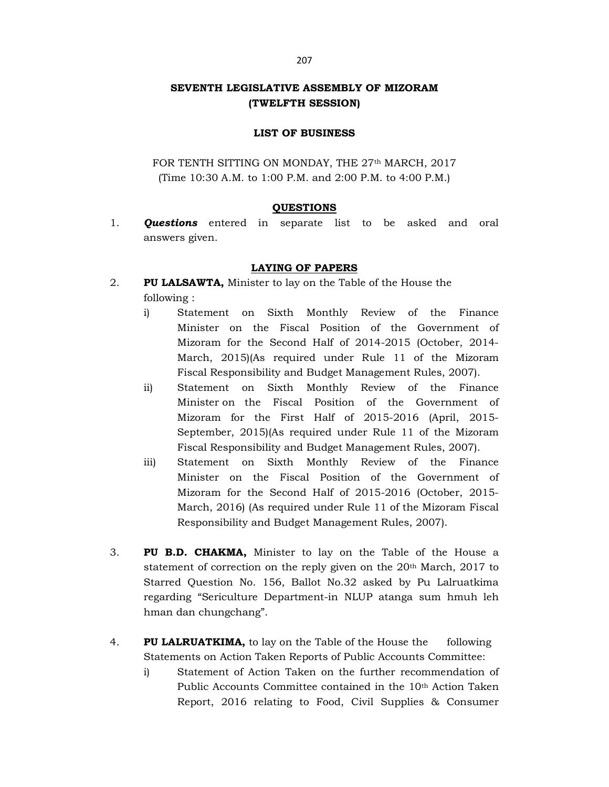## SEVENTH LEGISLATIVE ASSEMBLY OF MIZORAM (TWELFTH SESSION)

## LIST OF BUSINESS

FOR TENTH SITTING ON MONDAY, THE 27<sup>th</sup> MARCH, 2017 (Time 10:30 A.M. to 1:00 P.M. and 2:00 P.M. to 4:00 P.M.)

## **QUESTIONS**

1. **Questions** entered in separate list to be asked and oral answers given.

## LAYING OF PAPERS

- 2. PU LALSAWTA, Minister to lay on the Table of the House the following :
	- i) Statement on Sixth Monthly Review of the Finance Minister on the Fiscal Position of the Government of Mizoram for the Second Half of 2014-2015 (October, 2014- March, 2015)(As required under Rule 11 of the Mizoram Fiscal Responsibility and Budget Management Rules, 2007).
	- ii) Statement on Sixth Monthly Review of the Finance Minister on the Fiscal Position of the Government of Mizoram for the First Half of 2015-2016 (April, 2015- September, 2015)(As required under Rule 11 of the Mizoram Fiscal Responsibility and Budget Management Rules, 2007).
	- iii) Statement on Sixth Monthly Review of the Finance Minister on the Fiscal Position of the Government of Mizoram for the Second Half of 2015-2016 (October, 2015- March, 2016) (As required under Rule 11 of the Mizoram Fiscal Responsibility and Budget Management Rules, 2007).
- 3. PU B.D. CHAKMA, Minister to lay on the Table of the House a statement of correction on the reply given on the 20<sup>th</sup> March, 2017 to Starred Question No. 156, Ballot No.32 asked by Pu Lalruatkima regarding "Sericulture Department-in NLUP atanga sum hmuh leh hman dan chungchang".
- 4. PU LALRUATKIMA, to lay on the Table of the House the following Statements on Action Taken Reports of Public Accounts Committee:
	- i) Statement of Action Taken on the further recommendation of Public Accounts Committee contained in the 10<sup>th</sup> Action Taken Report, 2016 relating to Food, Civil Supplies & Consumer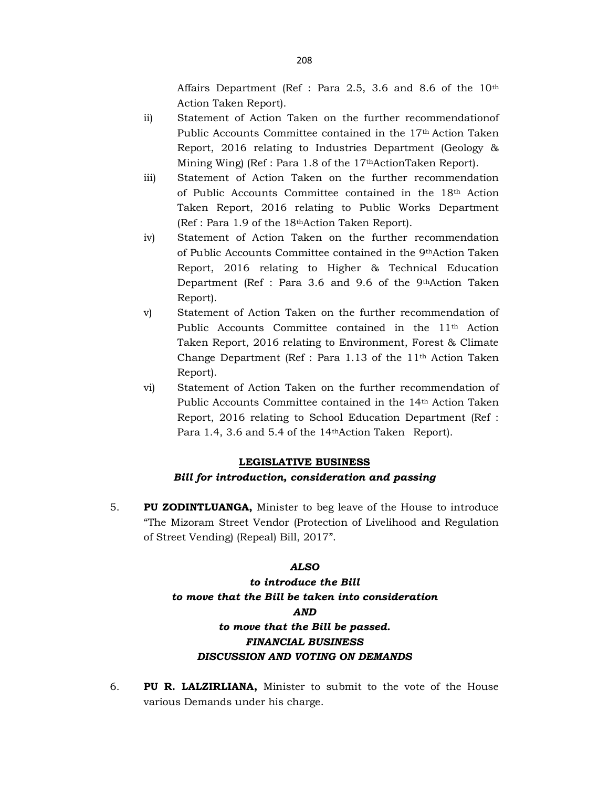Affairs Department (Ref : Para 2.5, 3.6 and 8.6 of the 10th Action Taken Report).

- ii) Statement of Action Taken on the further recommendationof Public Accounts Committee contained in the 17th Action Taken Report, 2016 relating to Industries Department (Geology & Mining Wing) (Ref : Para 1.8 of the 17thActionTaken Report).
- iii) Statement of Action Taken on the further recommendation of Public Accounts Committee contained in the 18th Action Taken Report, 2016 relating to Public Works Department (Ref : Para 1.9 of the 18thAction Taken Report).
- iv) Statement of Action Taken on the further recommendation of Public Accounts Committee contained in the 9thAction Taken Report, 2016 relating to Higher & Technical Education Department (Ref : Para 3.6 and 9.6 of the 9thAction Taken Report).
- v) Statement of Action Taken on the further recommendation of Public Accounts Committee contained in the 11<sup>th</sup> Action Taken Report, 2016 relating to Environment, Forest & Climate Change Department (Ref : Para 1.13 of the 11th Action Taken Report).
- vi) Statement of Action Taken on the further recommendation of Public Accounts Committee contained in the 14th Action Taken Report, 2016 relating to School Education Department (Ref : Para 1.4, 3.6 and 5.4 of the 14thAction Taken Report).

## LEGISLATIVE BUSINESS Bill for introduction, consideration and passing

5. PU ZODINTLUANGA, Minister to beg leave of the House to introduce "The Mizoram Street Vendor (Protection of Livelihood and Regulation of Street Vending) (Repeal) Bill, 2017".

## ALSO

# to introduce the Bill to move that the Bill be taken into consideration AND to move that the Bill be passed. FINANCIAL BUSINESS DISCUSSION AND VOTING ON DEMANDS

6. PU R. LALZIRLIANA, Minister to submit to the vote of the House various Demands under his charge.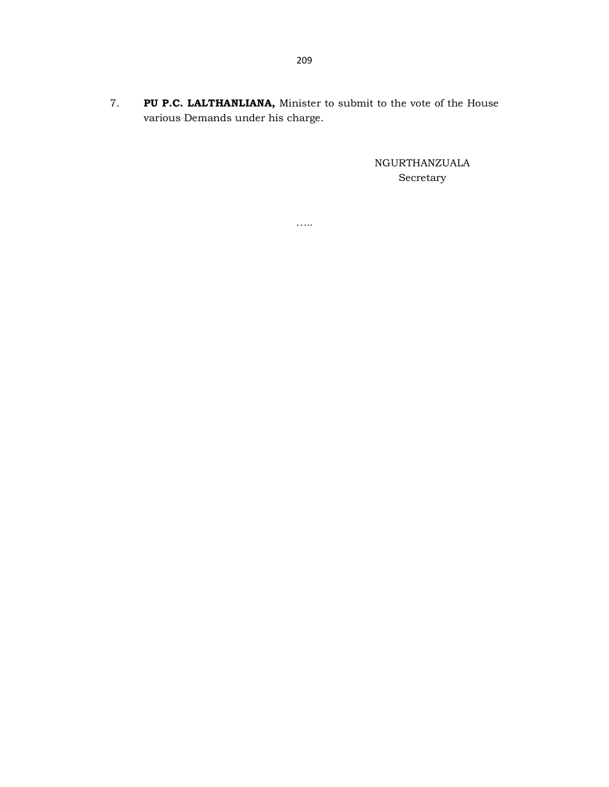7. PU P.C. LALTHANLIANA, Minister to submit to the vote of the House various Demands under his charge.

……

NGURTHANZUALA Secretary

209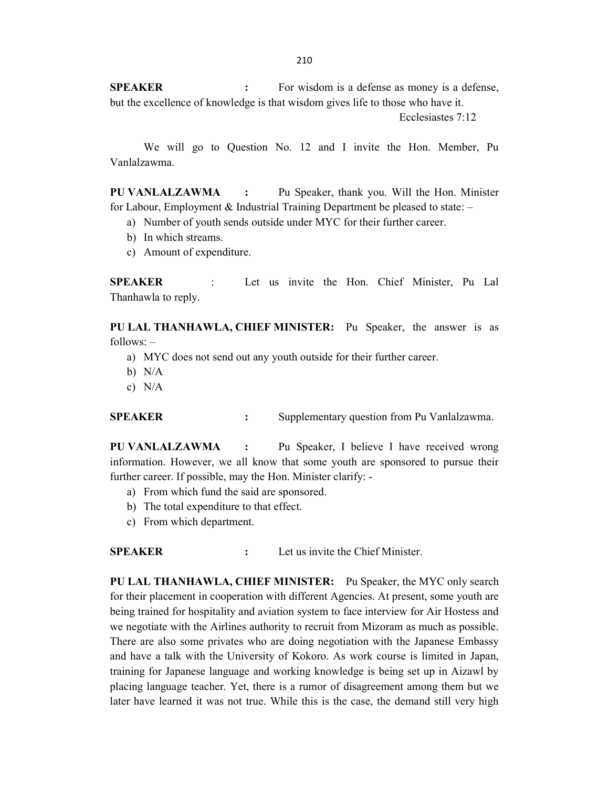210

SPEAKER : For wisdom is a defense as money is a defense, but the excellence of knowledge is that wisdom gives life to those who have it.

Ecclesiastes 7:12

 We will go to Question No. 12 and I invite the Hon. Member, Pu Vanlalzawma.

PU VANLALZAWMA : Pu Speaker, thank you. Will the Hon. Minister for Labour, Employment & Industrial Training Department be pleased to state: –

- a) Number of youth sends outside under MYC for their further career.
- b) In which streams.
- c) Amount of expenditure.

SPEAKER : Let us invite the Hon. Chief Minister, Pu Lal Thanhawla to reply.

PU LAL THANHAWLA, CHIEF MINISTER: Pu Speaker, the answer is as follows: –

a) MYC does not send out any youth outside for their further career.

- b) N/A
- c) N/A

SPEAKER : Supplementary question from Pu Vanlalzawma.

PU VANLALZAWMA : Pu Speaker, I believe I have received wrong information. However, we all know that some youth are sponsored to pursue their further career. If possible, may the Hon. Minister clarify: -

- a) From which fund the said are sponsored.
- b) The total expenditure to that effect.
- c) From which department.

SPEAKER : Let us invite the Chief Minister.

PU LAL THANHAWLA, CHIEF MINISTER: Pu Speaker, the MYC only search for their placement in cooperation with different Agencies. At present, some youth are being trained for hospitality and aviation system to face interview for Air Hostess and we negotiate with the Airlines authority to recruit from Mizoram as much as possible. There are also some privates who are doing negotiation with the Japanese Embassy and have a talk with the University of Kokoro. As work course is limited in Japan, training for Japanese language and working knowledge is being set up in Aizawl by placing language teacher. Yet, there is a rumor of disagreement among them but we later have learned it was not true. While this is the case, the demand still very high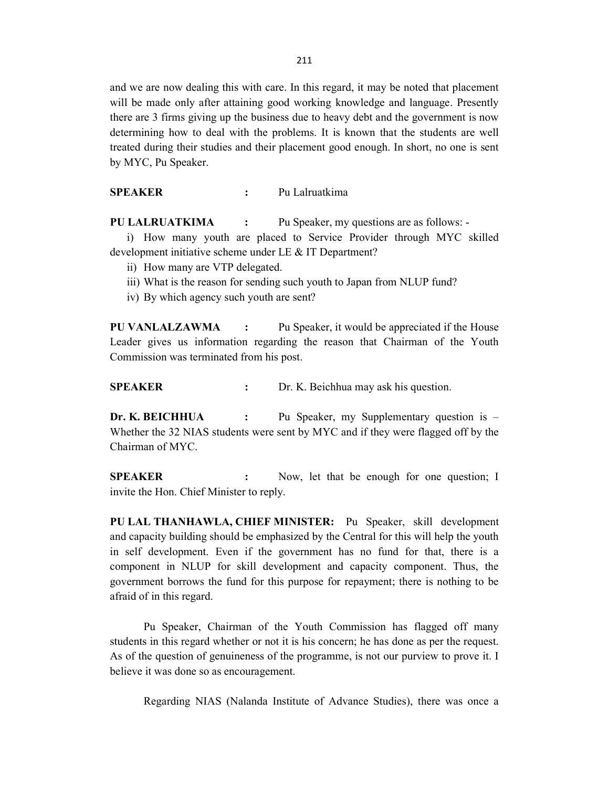and we are now dealing this with care. In this regard, it may be noted that placement will be made only after attaining good working knowledge and language. Presently there are 3 firms giving up the business due to heavy debt and the government is now determining how to deal with the problems. It is known that the students are well treated during their studies and their placement good enough. In short, no one is sent by MYC, Pu Speaker.

SPEAKER : Pu Lalruatkima

PU LALRUATKIMA : Pu Speaker, my questions are as follows: -

i) How many youth are placed to Service Provider through MYC skilled development initiative scheme under LE & IT Department?

- ii) How many are VTP delegated.
- iii) What is the reason for sending such youth to Japan from NLUP fund?
- iv) By which agency such youth are sent?

PU VANLALZAWMA : Pu Speaker, it would be appreciated if the House Leader gives us information regarding the reason that Chairman of the Youth Commission was terminated from his post.

SPEAKER : Dr. K. Beichhua may ask his question.

Dr. K. BEICHHUA : Pu Speaker, my Supplementary question is – Whether the 32 NIAS students were sent by MYC and if they were flagged off by the Chairman of MYC.

SPEAKER : Now, let that be enough for one question; I invite the Hon. Chief Minister to reply.

PU LAL THANHAWLA, CHIEF MINISTER: Pu Speaker, skill development and capacity building should be emphasized by the Central for this will help the youth in self development. Even if the government has no fund for that, there is a component in NLUP for skill development and capacity component. Thus, the government borrows the fund for this purpose for repayment; there is nothing to be afraid of in this regard.

 Pu Speaker, Chairman of the Youth Commission has flagged off many students in this regard whether or not it is his concern; he has done as per the request. As of the question of genuineness of the programme, is not our purview to prove it. I believe it was done so as encouragement.

Regarding NIAS (Nalanda Institute of Advance Studies), there was once a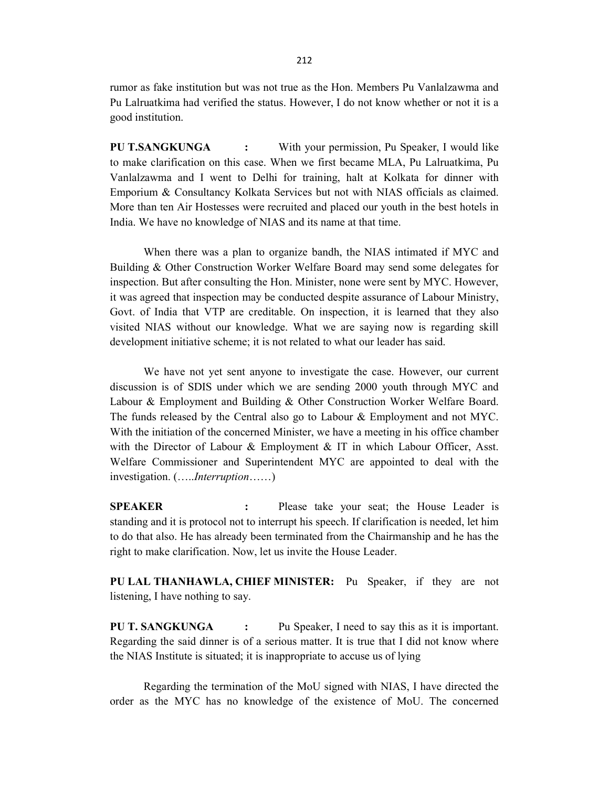rumor as fake institution but was not true as the Hon. Members Pu Vanlalzawma and Pu Lalruatkima had verified the status. However, I do not know whether or not it is a good institution.

PU T.SANGKUNGA : With your permission, Pu Speaker, I would like to make clarification on this case. When we first became MLA, Pu Lalruatkima, Pu Vanlalzawma and I went to Delhi for training, halt at Kolkata for dinner with Emporium & Consultancy Kolkata Services but not with NIAS officials as claimed. More than ten Air Hostesses were recruited and placed our youth in the best hotels in India. We have no knowledge of NIAS and its name at that time.

 When there was a plan to organize bandh, the NIAS intimated if MYC and Building & Other Construction Worker Welfare Board may send some delegates for inspection. But after consulting the Hon. Minister, none were sent by MYC. However, it was agreed that inspection may be conducted despite assurance of Labour Ministry, Govt. of India that VTP are creditable. On inspection, it is learned that they also visited NIAS without our knowledge. What we are saying now is regarding skill development initiative scheme; it is not related to what our leader has said.

 We have not yet sent anyone to investigate the case. However, our current discussion is of SDIS under which we are sending 2000 youth through MYC and Labour & Employment and Building & Other Construction Worker Welfare Board. The funds released by the Central also go to Labour & Employment and not MYC. With the initiation of the concerned Minister, we have a meeting in his office chamber with the Director of Labour & Employment & IT in which Labour Officer, Asst. Welfare Commissioner and Superintendent MYC are appointed to deal with the investigation. (…..Interruption……)

SPEAKER : Please take your seat; the House Leader is standing and it is protocol not to interrupt his speech. If clarification is needed, let him to do that also. He has already been terminated from the Chairmanship and he has the right to make clarification. Now, let us invite the House Leader.

PU LAL THANHAWLA, CHIEF MINISTER: Pu Speaker, if they are not listening, I have nothing to say.

PU T. SANGKUNGA : Pu Speaker, I need to say this as it is important. Regarding the said dinner is of a serious matter. It is true that I did not know where the NIAS Institute is situated; it is inappropriate to accuse us of lying

 Regarding the termination of the MoU signed with NIAS, I have directed the order as the MYC has no knowledge of the existence of MoU. The concerned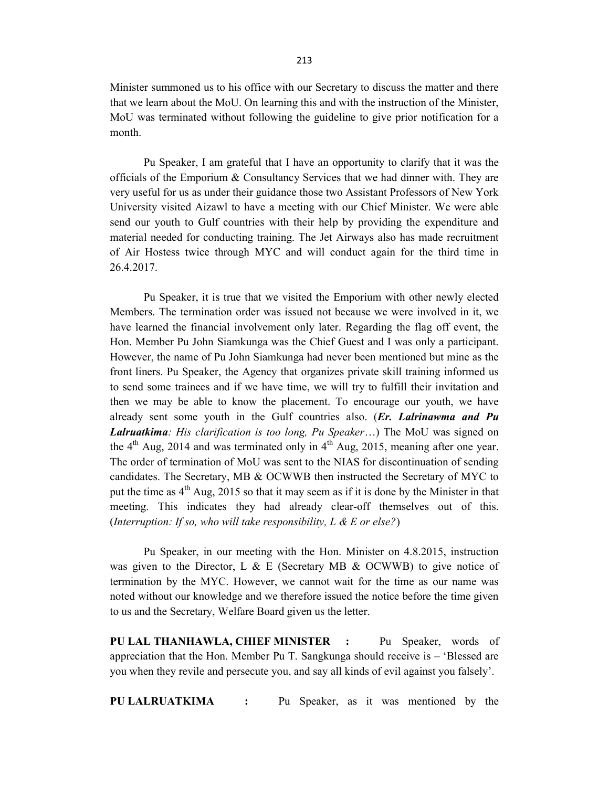Minister summoned us to his office with our Secretary to discuss the matter and there that we learn about the MoU. On learning this and with the instruction of the Minister, MoU was terminated without following the guideline to give prior notification for a month.

Pu Speaker, I am grateful that I have an opportunity to clarify that it was the officials of the Emporium & Consultancy Services that we had dinner with. They are very useful for us as under their guidance those two Assistant Professors of New York University visited Aizawl to have a meeting with our Chief Minister. We were able send our youth to Gulf countries with their help by providing the expenditure and material needed for conducting training. The Jet Airways also has made recruitment of Air Hostess twice through MYC and will conduct again for the third time in 26.4.2017.

 Pu Speaker, it is true that we visited the Emporium with other newly elected Members. The termination order was issued not because we were involved in it, we have learned the financial involvement only later. Regarding the flag off event, the Hon. Member Pu John Siamkunga was the Chief Guest and I was only a participant. However, the name of Pu John Siamkunga had never been mentioned but mine as the front liners. Pu Speaker, the Agency that organizes private skill training informed us to send some trainees and if we have time, we will try to fulfill their invitation and then we may be able to know the placement. To encourage our youth, we have already sent some youth in the Gulf countries also.  $(Er, L_1)$  *Lalrinawma and Pu* Lalruatkima: His clarification is too long, Pu Speaker...) The MoU was signed on the  $4<sup>th</sup>$  Aug, 2014 and was terminated only in  $4<sup>th</sup>$  Aug, 2015, meaning after one year. The order of termination of MoU was sent to the NIAS for discontinuation of sending candidates. The Secretary, MB & OCWWB then instructed the Secretary of MYC to put the time as  $4<sup>th</sup>$  Aug, 2015 so that it may seem as if it is done by the Minister in that meeting. This indicates they had already clear-off themselves out of this. (Interruption: If so, who will take responsibility, L & E or else?)

 Pu Speaker, in our meeting with the Hon. Minister on 4.8.2015, instruction was given to the Director, L & E (Secretary MB & OCWWB) to give notice of termination by the MYC. However, we cannot wait for the time as our name was noted without our knowledge and we therefore issued the notice before the time given to us and the Secretary, Welfare Board given us the letter.

PU LAL THANHAWLA, CHIEF MINISTER : Pu Speaker, words of appreciation that the Hon. Member Pu T. Sangkunga should receive is – 'Blessed are you when they revile and persecute you, and say all kinds of evil against you falsely'.

PU LALRUATKIMA : Pu Speaker, as it was mentioned by the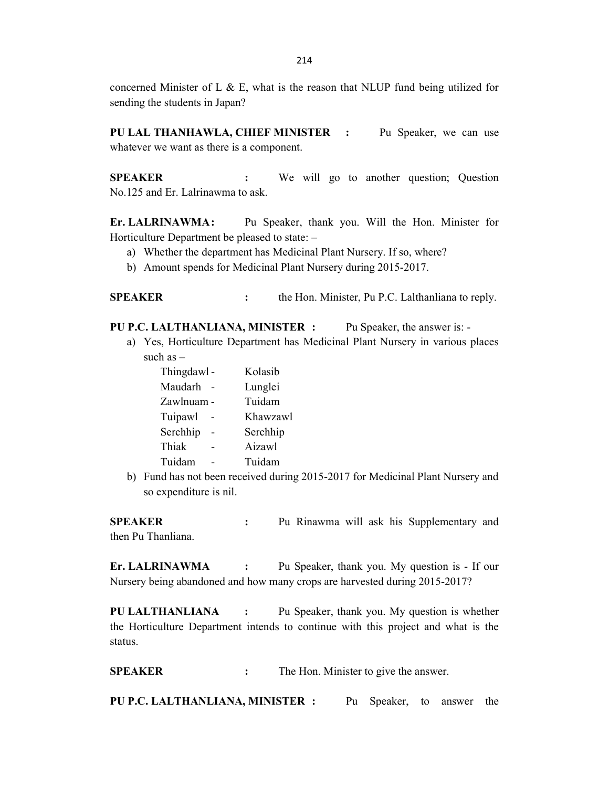concerned Minister of L  $\&$  E, what is the reason that NLUP fund being utilized for sending the students in Japan?

PU LAL THANHAWLA, CHIEF MINISTER : Pu Speaker, we can use whatever we want as there is a component.

SPEAKER : We will go to another question; Question No.125 and Er. Lalrinawma to ask.

Er. LALRINAWMA: Pu Speaker, thank you. Will the Hon. Minister for Horticulture Department be pleased to state: –

- a) Whether the department has Medicinal Plant Nursery. If so, where?
- b) Amount spends for Medicinal Plant Nursery during 2015-2017.

SPEAKER : the Hon. Minister, Pu P.C. Lalthanliana to reply.

PU P.C. LALTHANLIANA, MINISTER : Pu Speaker, the answer is: -

a) Yes, Horticulture Department has Medicinal Plant Nursery in various places such as –

| Thingdawl - | Kolasib  |
|-------------|----------|
| Maudarh     | Lunglei  |
| Zawlnuam -  | Tuidam   |
| Tuipawl     | Khawzawl |
| Serchhip    | Serchhip |
| Thiak       | Aizawl   |
| Tuidam      | Tuidam   |

b) Fund has not been received during 2015-2017 for Medicinal Plant Nursery and so expenditure is nil.

SPEAKER : Pu Rinawma will ask his Supplementary and then Pu Thanliana.

Er. LALRINAWMA : Pu Speaker, thank you. My question is - If our Nursery being abandoned and how many crops are harvested during 2015-2017?

PU LALTHANLIANA : Pu Speaker, thank you. My question is whether the Horticulture Department intends to continue with this project and what is the status.

SPEAKER : The Hon. Minister to give the answer.

PU P.C. LALTHANLIANA, MINISTER : Pu Speaker, to answer the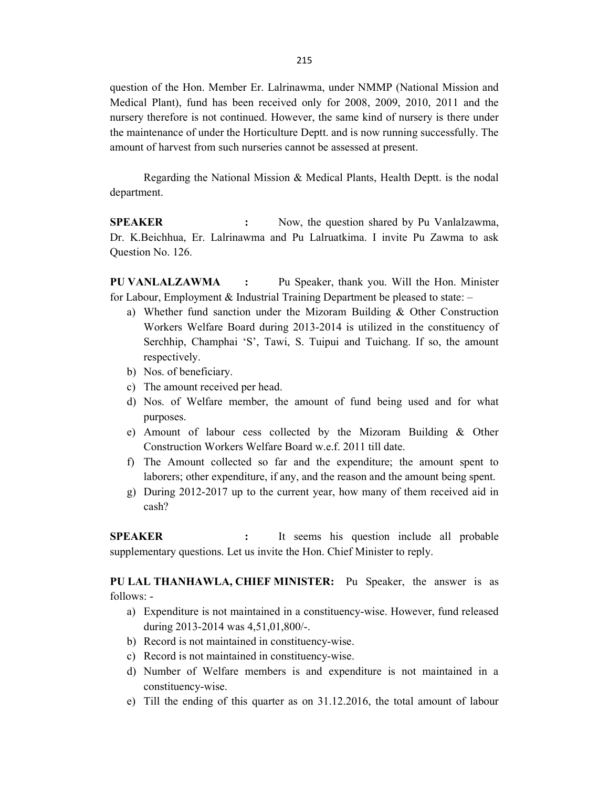question of the Hon. Member Er. Lalrinawma, under NMMP (National Mission and Medical Plant), fund has been received only for 2008, 2009, 2010, 2011 and the nursery therefore is not continued. However, the same kind of nursery is there under the maintenance of under the Horticulture Deptt. and is now running successfully. The amount of harvest from such nurseries cannot be assessed at present.

 Regarding the National Mission & Medical Plants, Health Deptt. is the nodal department.

SPEAKER : Now, the question shared by Pu Vanlalzawma, Dr. K.Beichhua, Er. Lalrinawma and Pu Lalruatkima. I invite Pu Zawma to ask Question No. 126.

PU VANLALZAWMA : Pu Speaker, thank you. Will the Hon. Minister for Labour, Employment & Industrial Training Department be pleased to state: –

- a) Whether fund sanction under the Mizoram Building  $\&$  Other Construction Workers Welfare Board during 2013-2014 is utilized in the constituency of Serchhip, Champhai 'S', Tawi, S. Tuipui and Tuichang. If so, the amount respectively.
- b) Nos. of beneficiary.
- c) The amount received per head.
- d) Nos. of Welfare member, the amount of fund being used and for what purposes.
- e) Amount of labour cess collected by the Mizoram Building & Other Construction Workers Welfare Board w.e.f. 2011 till date.
- f) The Amount collected so far and the expenditure; the amount spent to laborers; other expenditure, if any, and the reason and the amount being spent.
- g) During 2012-2017 up to the current year, how many of them received aid in cash?

SPEAKER : It seems his question include all probable supplementary questions. Let us invite the Hon. Chief Minister to reply.

PU LAL THANHAWLA, CHIEF MINISTER: Pu Speaker, the answer is as follows: -

- a) Expenditure is not maintained in a constituency-wise. However, fund released during 2013-2014 was 4,51,01,800/-.
- b) Record is not maintained in constituency-wise.
- c) Record is not maintained in constituency-wise.
- d) Number of Welfare members is and expenditure is not maintained in a constituency-wise.
- e) Till the ending of this quarter as on 31.12.2016, the total amount of labour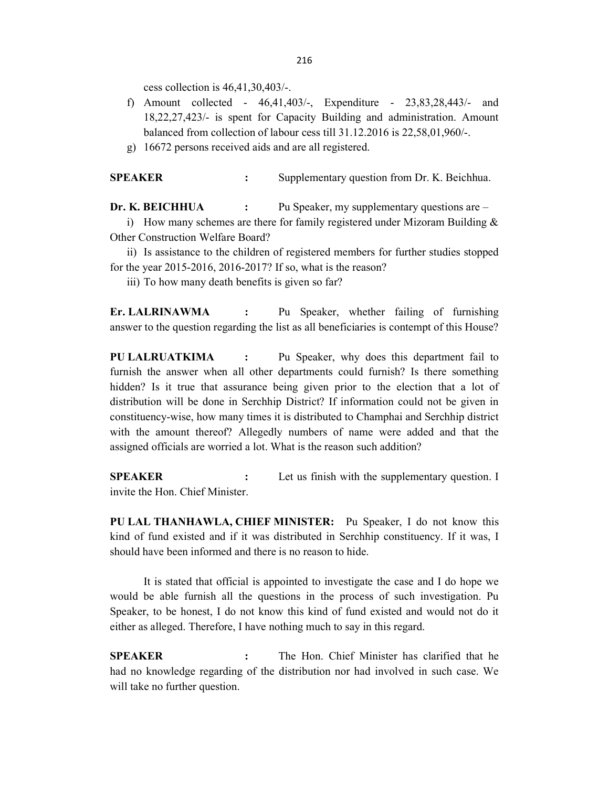cess collection is 46,41,30,403/-.

- f) Amount collected 46,41,403/-, Expenditure 23,83,28,443/- and 18,22,27,423/- is spent for Capacity Building and administration. Amount balanced from collection of labour cess till 31.12.2016 is 22,58,01,960/-.
- g) 16672 persons received aids and are all registered.

SPEAKER : Supplementary question from Dr. K. Beichhua.

Dr. K. BEICHHUA : Pu Speaker, my supplementary questions are – i) How many schemes are there for family registered under Mizoram Building  $&$ Other Construction Welfare Board?

ii) Is assistance to the children of registered members for further studies stopped for the year 2015-2016, 2016-2017? If so, what is the reason?

iii) To how many death benefits is given so far?

Er. LALRINAWMA : Pu Speaker, whether failing of furnishing answer to the question regarding the list as all beneficiaries is contempt of this House?

PU LALRUATKIMA : Pu Speaker, why does this department fail to furnish the answer when all other departments could furnish? Is there something hidden? Is it true that assurance being given prior to the election that a lot of distribution will be done in Serchhip District? If information could not be given in constituency-wise, how many times it is distributed to Champhai and Serchhip district with the amount thereof? Allegedly numbers of name were added and that the assigned officials are worried a lot. What is the reason such addition?

**SPEAKER** : Let us finish with the supplementary question. I invite the Hon. Chief Minister.

PU LAL THANHAWLA, CHIEF MINISTER: Pu Speaker, I do not know this kind of fund existed and if it was distributed in Serchhip constituency. If it was, I should have been informed and there is no reason to hide.

 It is stated that official is appointed to investigate the case and I do hope we would be able furnish all the questions in the process of such investigation. Pu Speaker, to be honest, I do not know this kind of fund existed and would not do it either as alleged. Therefore, I have nothing much to say in this regard.

SPEAKER : The Hon. Chief Minister has clarified that he had no knowledge regarding of the distribution nor had involved in such case. We will take no further question.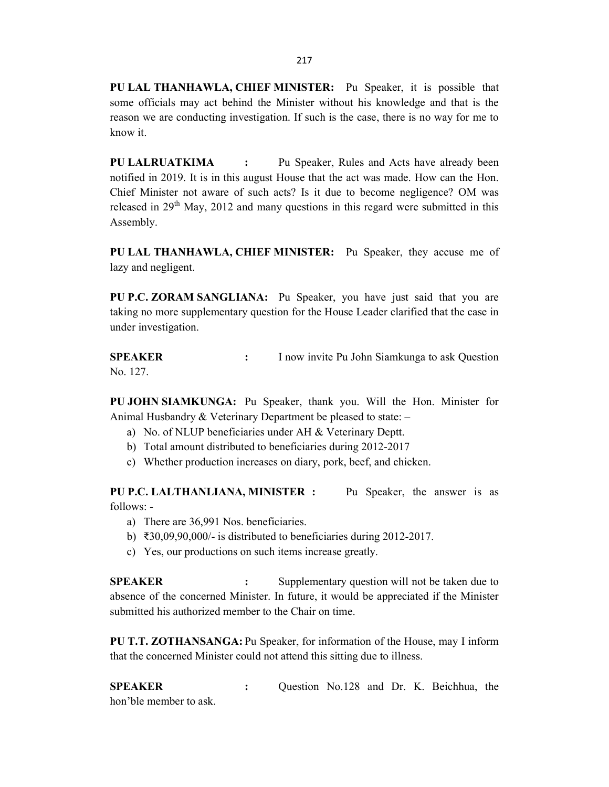PU LAL THANHAWLA, CHIEF MINISTER: Pu Speaker, it is possible that some officials may act behind the Minister without his knowledge and that is the reason we are conducting investigation. If such is the case, there is no way for me to know it.

PU LALRUATKIMA : Pu Speaker, Rules and Acts have already been notified in 2019. It is in this august House that the act was made. How can the Hon. Chief Minister not aware of such acts? Is it due to become negligence? OM was released in  $29<sup>th</sup>$  May, 2012 and many questions in this regard were submitted in this Assembly.

PU LAL THANHAWLA, CHIEF MINISTER: Pu Speaker, they accuse me of lazy and negligent.

PU P.C. ZORAM SANGLIANA: Pu Speaker, you have just said that you are taking no more supplementary question for the House Leader clarified that the case in under investigation.

**SPEAKER** : I now invite Pu John Siamkunga to ask Question No. 127.

PU JOHN SIAMKUNGA: Pu Speaker, thank you. Will the Hon. Minister for Animal Husbandry & Veterinary Department be pleased to state: –

- a) No. of NLUP beneficiaries under AH & Veterinary Deptt.
- b) Total amount distributed to beneficiaries during 2012-2017
- c) Whether production increases on diary, pork, beef, and chicken.

PU P.C. LALTHANLIANA, MINISTER : Pu Speaker, the answer is as follows: -

- a) There are 36,991 Nos. beneficiaries.
- b) ₹30,09,90,000/- is distributed to beneficiaries during 2012-2017.
- c) Yes, our productions on such items increase greatly.

SPEAKER : Supplementary question will not be taken due to absence of the concerned Minister. In future, it would be appreciated if the Minister submitted his authorized member to the Chair on time.

PU T.T. ZOTHANSANGA: Pu Speaker, for information of the House, may I inform that the concerned Minister could not attend this sitting due to illness.

SPEAKER : Question No.128 and Dr. K. Beichhua, the hon'ble member to ask.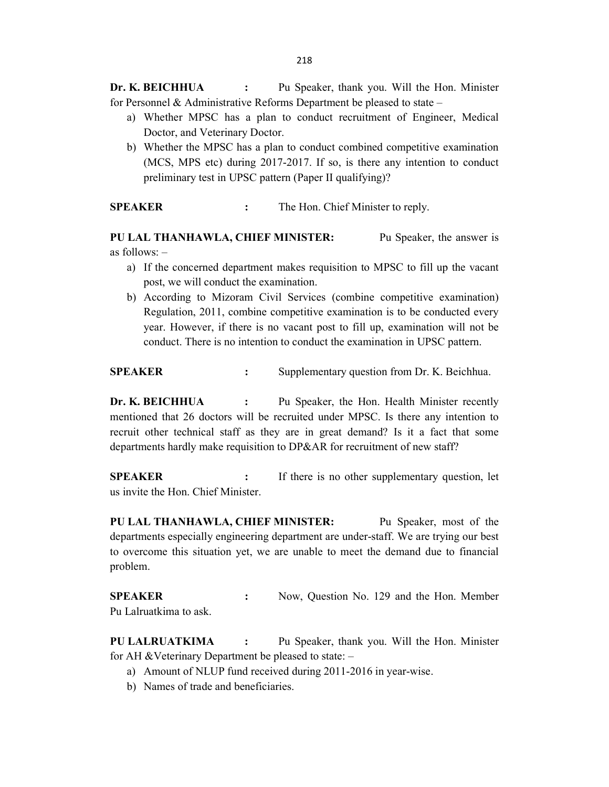Dr. K. BEICHHUA : Pu Speaker, thank you. Will the Hon. Minister for Personnel & Administrative Reforms Department be pleased to state  $-$ 

- a) Whether MPSC has a plan to conduct recruitment of Engineer, Medical Doctor, and Veterinary Doctor.
- b) Whether the MPSC has a plan to conduct combined competitive examination (MCS, MPS etc) during 2017-2017. If so, is there any intention to conduct preliminary test in UPSC pattern (Paper II qualifying)?

SPEAKER : The Hon. Chief Minister to reply.

PU LAL THANHAWLA, CHIEF MINISTER: Pu Speaker, the answer is as follows: –

- a) If the concerned department makes requisition to MPSC to fill up the vacant post, we will conduct the examination.
- b) According to Mizoram Civil Services (combine competitive examination) Regulation, 2011, combine competitive examination is to be conducted every year. However, if there is no vacant post to fill up, examination will not be conduct. There is no intention to conduct the examination in UPSC pattern.

SPEAKER : Supplementary question from Dr. K. Beichhua.

Dr. K. BEICHHUA : Pu Speaker, the Hon. Health Minister recently mentioned that 26 doctors will be recruited under MPSC. Is there any intention to recruit other technical staff as they are in great demand? Is it a fact that some departments hardly make requisition to DP&AR for recruitment of new staff?

**SPEAKER** : If there is no other supplementary question, let us invite the Hon. Chief Minister.

PU LAL THANHAWLA, CHIEF MINISTER: Pu Speaker, most of the departments especially engineering department are under-staff. We are trying our best to overcome this situation yet, we are unable to meet the demand due to financial problem.

SPEAKER : Now, Question No. 129 and the Hon. Member Pu Lalruatkima to ask.

PU LALRUATKIMA : Pu Speaker, thank you. Will the Hon. Minister for AH &Veterinary Department be pleased to state: –

- a) Amount of NLUP fund received during 2011-2016 in year-wise.
- b) Names of trade and beneficiaries.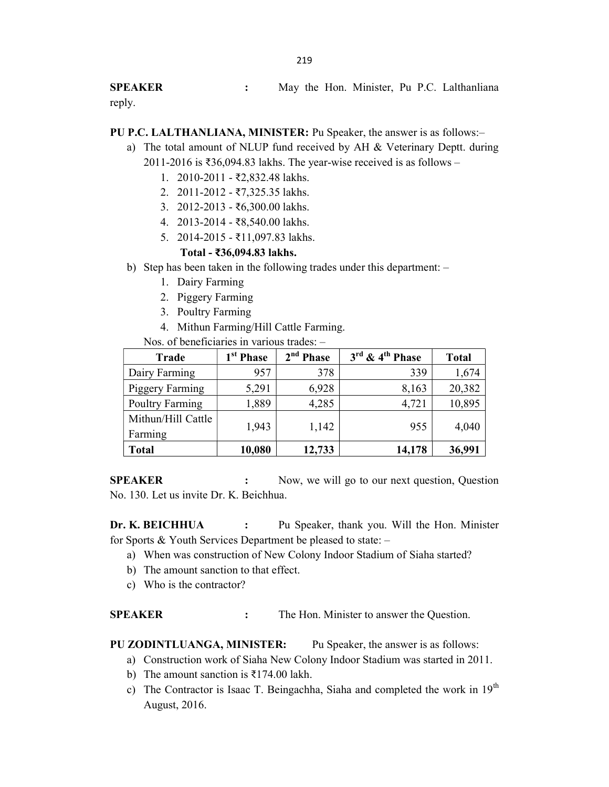SPEAKER : May the Hon. Minister, Pu P.C. Lalthanliana reply.

PU P.C. LALTHANLIANA, MINISTER: Pu Speaker, the answer is as follows:–

- a) The total amount of NLUP fund received by AH & Veterinary Deptt. during 2011-2016 is ₹36,094.83 lakhs. The year-wise received is as follows –
	- 1. 2010-2011 ₹2,832.48 lakhs.
	- 2. 2011-2012 ₹7,325.35 lakhs.
	- 3. 2012-2013 ₹6,300.00 lakhs.
	- 4. 2013-2014 ₹8,540.00 lakhs.
	- 5. 2014-2015 ₹11,097.83 lakhs.

## Total - ₹36,094.83 lakhs.

- b) Step has been taken in the following trades under this department:
	- 1. Dairy Farming
	- 2. Piggery Farming
	- 3. Poultry Farming
	- 4. Mithun Farming/Hill Cattle Farming.

Nos. of beneficiaries in various trades: –

| Trade                  | 1 <sup>st</sup> Phase | 2 <sup>nd</sup> Phase | $3^{\text{rd}}$ & $4^{\text{th}}$ Phase | <b>Total</b> |
|------------------------|-----------------------|-----------------------|-----------------------------------------|--------------|
| Dairy Farming          | 957                   | 378                   | 339                                     | 1,674        |
| <b>Piggery Farming</b> | 5,291                 | 6,928                 | 8,163                                   | 20,382       |
| Poultry Farming        | 1,889                 | 4,285                 | 4,721                                   | 10,895       |
| Mithun/Hill Cattle     | 1,943                 | 1,142                 | 955                                     | 4,040        |
| Farming                |                       |                       |                                         |              |
| <b>Total</b>           | 10,080                | 12,733                | 14,178                                  | 36,991       |

SPEAKER : Now, we will go to our next question, Question No. 130. Let us invite Dr. K. Beichhua.

Dr. K. BEICHHUA : Pu Speaker, thank you. Will the Hon. Minister for Sports & Youth Services Department be pleased to state: –

- a) When was construction of New Colony Indoor Stadium of Siaha started?
- b) The amount sanction to that effect.
- c) Who is the contractor?

SPEAKER : The Hon. Minister to answer the Question.

PU ZODINTLUANGA, MINISTER: Pu Speaker, the answer is as follows:

- a) Construction work of Siaha New Colony Indoor Stadium was started in 2011.
- b) The amount sanction is ₹174.00 lakh.
- c) The Contractor is Isaac T. Beingachha, Siaha and completed the work in 19<sup>th</sup> August, 2016.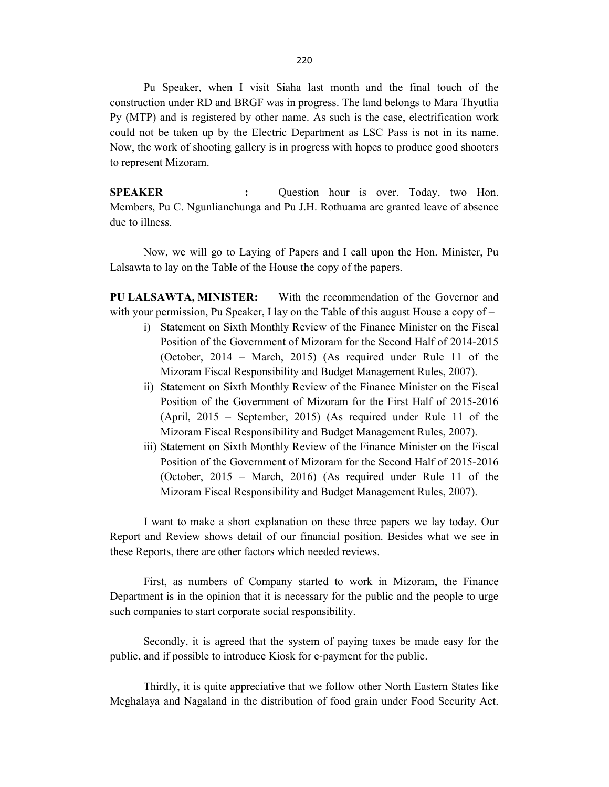Pu Speaker, when I visit Siaha last month and the final touch of the construction under RD and BRGF was in progress. The land belongs to Mara Thyutlia Py (MTP) and is registered by other name. As such is the case, electrification work could not be taken up by the Electric Department as LSC Pass is not in its name. Now, the work of shooting gallery is in progress with hopes to produce good shooters to represent Mizoram.

SPEAKER : Question hour is over. Today, two Hon. Members, Pu C. Ngunlianchunga and Pu J.H. Rothuama are granted leave of absence due to illness.

 Now, we will go to Laying of Papers and I call upon the Hon. Minister, Pu Lalsawta to lay on the Table of the House the copy of the papers.

PU LALSAWTA, MINISTER: With the recommendation of the Governor and with your permission, Pu Speaker, I lay on the Table of this august House a copy of  $-$ 

- i) Statement on Sixth Monthly Review of the Finance Minister on the Fiscal Position of the Government of Mizoram for the Second Half of 2014-2015 (October, 2014 – March, 2015) (As required under Rule 11 of the Mizoram Fiscal Responsibility and Budget Management Rules, 2007).
- ii) Statement on Sixth Monthly Review of the Finance Minister on the Fiscal Position of the Government of Mizoram for the First Half of 2015-2016 (April, 2015 – September, 2015) (As required under Rule 11 of the Mizoram Fiscal Responsibility and Budget Management Rules, 2007).
- iii) Statement on Sixth Monthly Review of the Finance Minister on the Fiscal Position of the Government of Mizoram for the Second Half of 2015-2016 (October, 2015 – March, 2016) (As required under Rule 11 of the Mizoram Fiscal Responsibility and Budget Management Rules, 2007).

 I want to make a short explanation on these three papers we lay today. Our Report and Review shows detail of our financial position. Besides what we see in these Reports, there are other factors which needed reviews.

 First, as numbers of Company started to work in Mizoram, the Finance Department is in the opinion that it is necessary for the public and the people to urge such companies to start corporate social responsibility.

 Secondly, it is agreed that the system of paying taxes be made easy for the public, and if possible to introduce Kiosk for e-payment for the public.

 Thirdly, it is quite appreciative that we follow other North Eastern States like Meghalaya and Nagaland in the distribution of food grain under Food Security Act.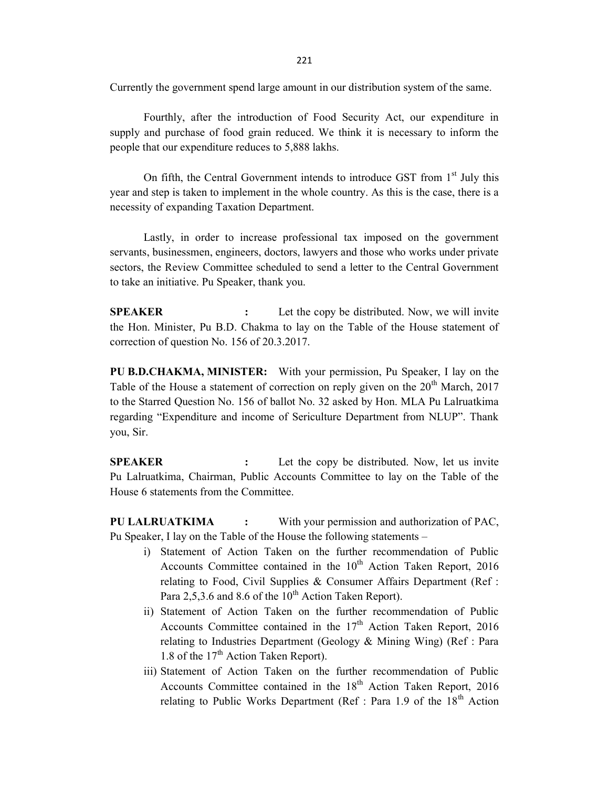221

Currently the government spend large amount in our distribution system of the same.

Fourthly, after the introduction of Food Security Act, our expenditure in supply and purchase of food grain reduced. We think it is necessary to inform the people that our expenditure reduces to 5,888 lakhs.

On fifth, the Central Government intends to introduce GST from 1<sup>st</sup> July this year and step is taken to implement in the whole country. As this is the case, there is a necessity of expanding Taxation Department.

 Lastly, in order to increase professional tax imposed on the government servants, businessmen, engineers, doctors, lawyers and those who works under private sectors, the Review Committee scheduled to send a letter to the Central Government to take an initiative. Pu Speaker, thank you.

**SPEAKER** : Let the copy be distributed. Now, we will invite the Hon. Minister, Pu B.D. Chakma to lay on the Table of the House statement of correction of question No. 156 of 20.3.2017.

PU B.D.CHAKMA, MINISTER: With your permission, Pu Speaker, I lay on the Table of the House a statement of correction on reply given on the  $20<sup>th</sup>$  March, 2017 to the Starred Question No. 156 of ballot No. 32 asked by Hon. MLA Pu Lalruatkima regarding "Expenditure and income of Sericulture Department from NLUP". Thank you, Sir.

**SPEAKER** : Let the copy be distributed. Now, let us invite Pu Lalruatkima, Chairman, Public Accounts Committee to lay on the Table of the House 6 statements from the Committee.

PU LALRUATKIMA : With your permission and authorization of PAC, Pu Speaker, I lay on the Table of the House the following statements –

- i) Statement of Action Taken on the further recommendation of Public Accounts Committee contained in the  $10^{th}$  Action Taken Report, 2016 relating to Food, Civil Supplies  $&$  Consumer Affairs Department (Ref : Para 2,5,3.6 and 8.6 of the  $10^{th}$  Action Taken Report).
- ii) Statement of Action Taken on the further recommendation of Public Accounts Committee contained in the  $17<sup>th</sup>$  Action Taken Report, 2016 relating to Industries Department (Geology & Mining Wing) (Ref : Para 1.8 of the  $17<sup>th</sup>$  Action Taken Report).
- iii) Statement of Action Taken on the further recommendation of Public Accounts Committee contained in the  $18<sup>th</sup>$  Action Taken Report, 2016 relating to Public Works Department (Ref : Para 1.9 of the  $18<sup>th</sup>$  Action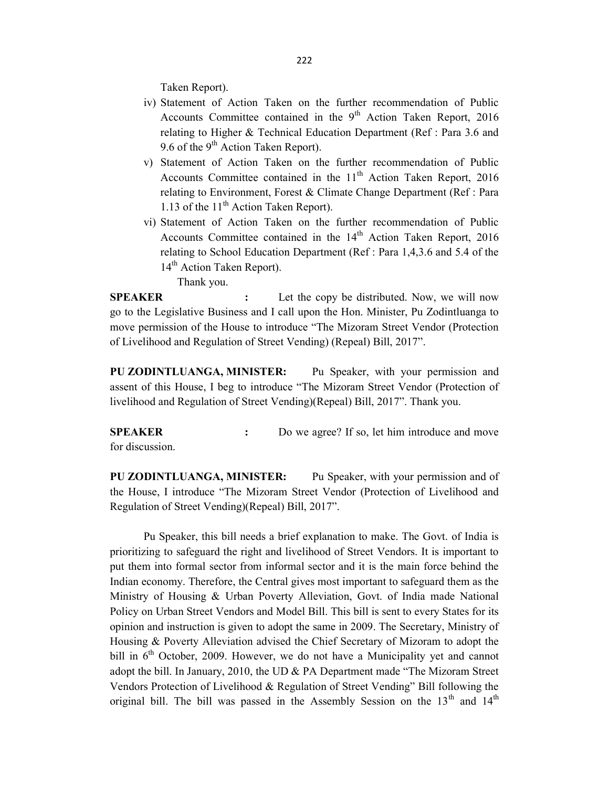Taken Report).

- iv) Statement of Action Taken on the further recommendation of Public Accounts Committee contained in the  $9<sup>th</sup>$  Action Taken Report, 2016 relating to Higher & Technical Education Department (Ref : Para 3.6 and 9.6 of the  $9<sup>th</sup>$  Action Taken Report).
- v) Statement of Action Taken on the further recommendation of Public Accounts Committee contained in the  $11<sup>th</sup>$  Action Taken Report, 2016 relating to Environment, Forest & Climate Change Department (Ref : Para 1.13 of the  $11<sup>th</sup>$  Action Taken Report).
- vi) Statement of Action Taken on the further recommendation of Public Accounts Committee contained in the 14<sup>th</sup> Action Taken Report, 2016 relating to School Education Department (Ref : Para 1,4,3.6 and 5.4 of the 14<sup>th</sup> Action Taken Report).

Thank you.

SPEAKER : Let the copy be distributed. Now, we will now go to the Legislative Business and I call upon the Hon. Minister, Pu Zodintluanga to move permission of the House to introduce "The Mizoram Street Vendor (Protection of Livelihood and Regulation of Street Vending) (Repeal) Bill, 2017".

PU ZODINTLUANGA, MINISTER: Pu Speaker, with your permission and assent of this House, I beg to introduce "The Mizoram Street Vendor (Protection of livelihood and Regulation of Street Vending)(Repeal) Bill, 2017". Thank you.

SPEAKER : Do we agree? If so, let him introduce and move for discussion.

PU ZODINTLUANGA, MINISTER: Pu Speaker, with your permission and of the House, I introduce "The Mizoram Street Vendor (Protection of Livelihood and Regulation of Street Vending)(Repeal) Bill, 2017".

Pu Speaker, this bill needs a brief explanation to make. The Govt. of India is prioritizing to safeguard the right and livelihood of Street Vendors. It is important to put them into formal sector from informal sector and it is the main force behind the Indian economy. Therefore, the Central gives most important to safeguard them as the Ministry of Housing & Urban Poverty Alleviation, Govt. of India made National Policy on Urban Street Vendors and Model Bill. This bill is sent to every States for its opinion and instruction is given to adopt the same in 2009. The Secretary, Ministry of Housing & Poverty Alleviation advised the Chief Secretary of Mizoram to adopt the bill in  $6<sup>th</sup>$  October, 2009. However, we do not have a Municipality yet and cannot adopt the bill. In January, 2010, the UD & PA Department made "The Mizoram Street Vendors Protection of Livelihood & Regulation of Street Vending" Bill following the original bill. The bill was passed in the Assembly Session on the  $13<sup>th</sup>$  and  $14<sup>th</sup>$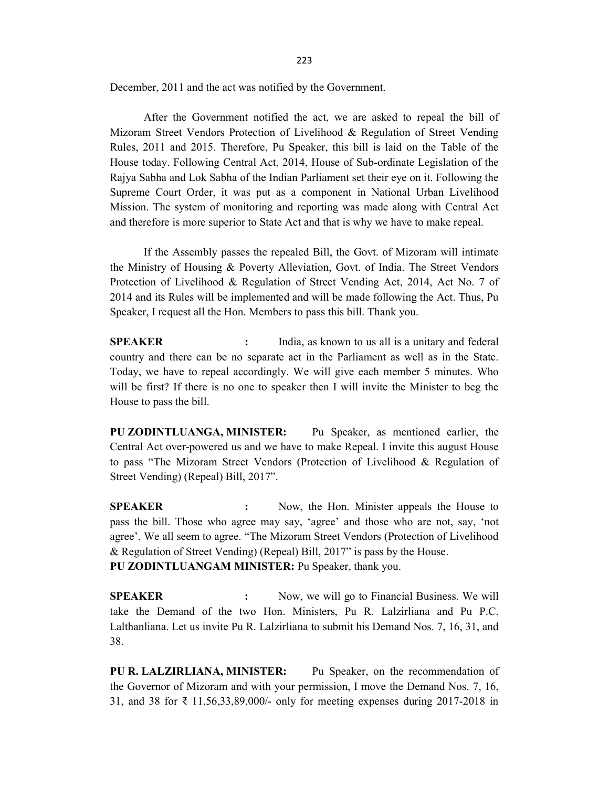December, 2011 and the act was notified by the Government.

After the Government notified the act, we are asked to repeal the bill of Mizoram Street Vendors Protection of Livelihood & Regulation of Street Vending Rules, 2011 and 2015. Therefore, Pu Speaker, this bill is laid on the Table of the House today. Following Central Act, 2014, House of Sub-ordinate Legislation of the Rajya Sabha and Lok Sabha of the Indian Parliament set their eye on it. Following the Supreme Court Order, it was put as a component in National Urban Livelihood Mission. The system of monitoring and reporting was made along with Central Act and therefore is more superior to State Act and that is why we have to make repeal.

If the Assembly passes the repealed Bill, the Govt. of Mizoram will intimate the Ministry of Housing & Poverty Alleviation, Govt. of India. The Street Vendors Protection of Livelihood & Regulation of Street Vending Act, 2014, Act No. 7 of 2014 and its Rules will be implemented and will be made following the Act. Thus, Pu Speaker, I request all the Hon. Members to pass this bill. Thank you.

**SPEAKER** : India, as known to us all is a unitary and federal country and there can be no separate act in the Parliament as well as in the State. Today, we have to repeal accordingly. We will give each member 5 minutes. Who will be first? If there is no one to speaker then I will invite the Minister to beg the House to pass the bill.

PU ZODINTLUANGA, MINISTER: Pu Speaker, as mentioned earlier, the Central Act over-powered us and we have to make Repeal. I invite this august House to pass "The Mizoram Street Vendors (Protection of Livelihood & Regulation of Street Vending) (Repeal) Bill, 2017".

SPEAKER : Now, the Hon. Minister appeals the House to pass the bill. Those who agree may say, 'agree' and those who are not, say, 'not agree'. We all seem to agree. "The Mizoram Street Vendors (Protection of Livelihood & Regulation of Street Vending) (Repeal) Bill, 2017" is pass by the House. PU ZODINTLUANGAM MINISTER: Pu Speaker, thank you.

SPEAKER : Now, we will go to Financial Business. We will take the Demand of the two Hon. Ministers, Pu R. Lalzirliana and Pu P.C. Lalthanliana. Let us invite Pu R. Lalzirliana to submit his Demand Nos. 7, 16, 31, and 38.

PU R. LALZIRLIANA, MINISTER: Pu Speaker, on the recommendation of the Governor of Mizoram and with your permission, I move the Demand Nos. 7, 16, 31, and 38 for ₹ 11,56,33,89,000/- only for meeting expenses during 2017-2018 in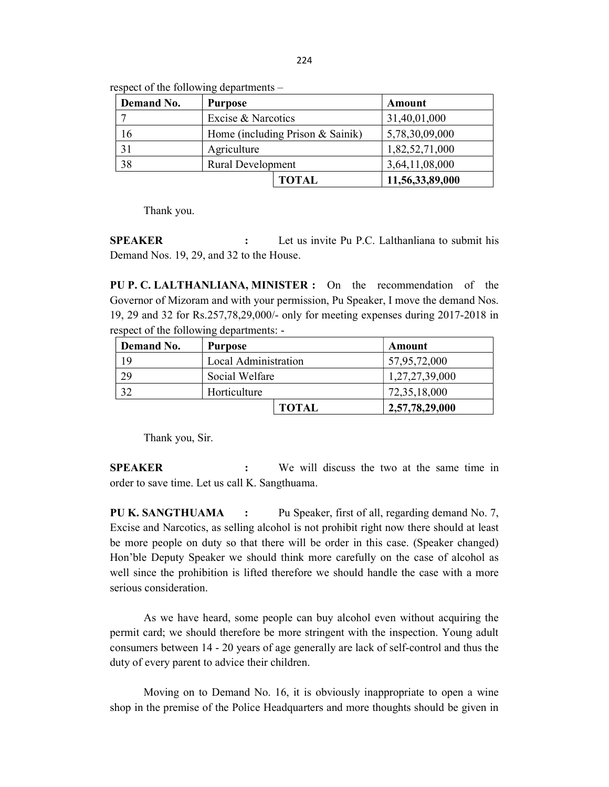| Demand No. | <b>Purpose</b>           |                                  | Amount          |
|------------|--------------------------|----------------------------------|-----------------|
|            | Excise & Narcotics       |                                  | 31,40,01,000    |
| 16         |                          | Home (including Prison & Sainik) | 5,78,30,09,000  |
| 31         | Agriculture              |                                  | 1,82,52,71,000  |
| 38         | <b>Rural Development</b> |                                  | 3,64,11,08,000  |
|            |                          | <b>TOTAL</b>                     | 11,56,33,89,000 |

respect of the following departments –

Thank you.

SPEAKER : Let us invite Pu P.C. Lalthanliana to submit his Demand Nos. 19, 29, and 32 to the House.

PU P. C. LALTHANLIANA, MINISTER : On the recommendation of the Governor of Mizoram and with your permission, Pu Speaker, I move the demand Nos. 19, 29 and 32 for Rs.257,78,29,000/- only for meeting expenses during 2017-2018 in respect of the following departments: -

| <b>Demand No.</b> | <b>Purpose</b>       |              | Amount         |
|-------------------|----------------------|--------------|----------------|
| 19                | Local Administration |              | 57,95,72,000   |
| 29                | Social Welfare       |              | 1,27,27,39,000 |
| 32                | Horticulture         |              | 72,35,18,000   |
|                   |                      | <b>TOTAL</b> | 2,57,78,29,000 |

Thank you, Sir.

SPEAKER : We will discuss the two at the same time in order to save time. Let us call K. Sangthuama.

PU K. SANGTHUAMA : Pu Speaker, first of all, regarding demand No. 7, Excise and Narcotics, as selling alcohol is not prohibit right now there should at least be more people on duty so that there will be order in this case. (Speaker changed) Hon'ble Deputy Speaker we should think more carefully on the case of alcohol as well since the prohibition is lifted therefore we should handle the case with a more serious consideration.

 As we have heard, some people can buy alcohol even without acquiring the permit card; we should therefore be more stringent with the inspection. Young adult consumers between 14 - 20 years of age generally are lack of self-control and thus the duty of every parent to advice their children.

 Moving on to Demand No. 16, it is obviously inappropriate to open a wine shop in the premise of the Police Headquarters and more thoughts should be given in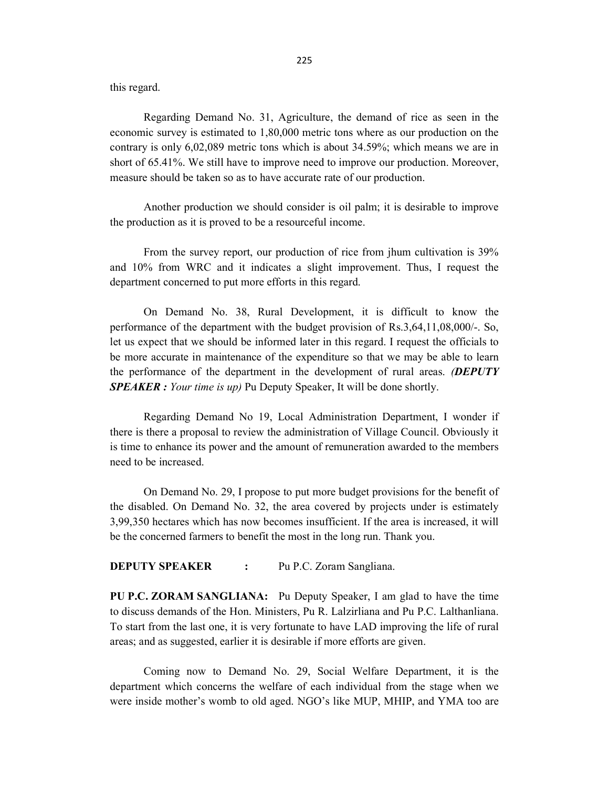this regard.

 Regarding Demand No. 31, Agriculture, the demand of rice as seen in the economic survey is estimated to 1,80,000 metric tons where as our production on the contrary is only 6,02,089 metric tons which is about 34.59%; which means we are in short of 65.41%. We still have to improve need to improve our production. Moreover, measure should be taken so as to have accurate rate of our production.

 Another production we should consider is oil palm; it is desirable to improve the production as it is proved to be a resourceful income.

 From the survey report, our production of rice from jhum cultivation is 39% and 10% from WRC and it indicates a slight improvement. Thus, I request the department concerned to put more efforts in this regard.

 On Demand No. 38, Rural Development, it is difficult to know the performance of the department with the budget provision of Rs.3,64,11,08,000/-. So, let us expect that we should be informed later in this regard. I request the officials to be more accurate in maintenance of the expenditure so that we may be able to learn the performance of the department in the development of rural areas. **(DEPUTY SPEAKER** : Your time is up) Pu Deputy Speaker, It will be done shortly.

Regarding Demand No 19, Local Administration Department, I wonder if there is there a proposal to review the administration of Village Council. Obviously it is time to enhance its power and the amount of remuneration awarded to the members need to be increased.

 On Demand No. 29, I propose to put more budget provisions for the benefit of the disabled. On Demand No. 32, the area covered by projects under is estimately 3,99,350 hectares which has now becomes insufficient. If the area is increased, it will be the concerned farmers to benefit the most in the long run. Thank you.

### **DEPUTY SPEAKER :** Pu P.C. Zoram Sangliana.

PU P.C. ZORAM SANGLIANA: Pu Deputy Speaker, I am glad to have the time to discuss demands of the Hon. Ministers, Pu R. Lalzirliana and Pu P.C. Lalthanliana. To start from the last one, it is very fortunate to have LAD improving the life of rural areas; and as suggested, earlier it is desirable if more efforts are given.

 Coming now to Demand No. 29, Social Welfare Department, it is the department which concerns the welfare of each individual from the stage when we were inside mother's womb to old aged. NGO's like MUP, MHIP, and YMA too are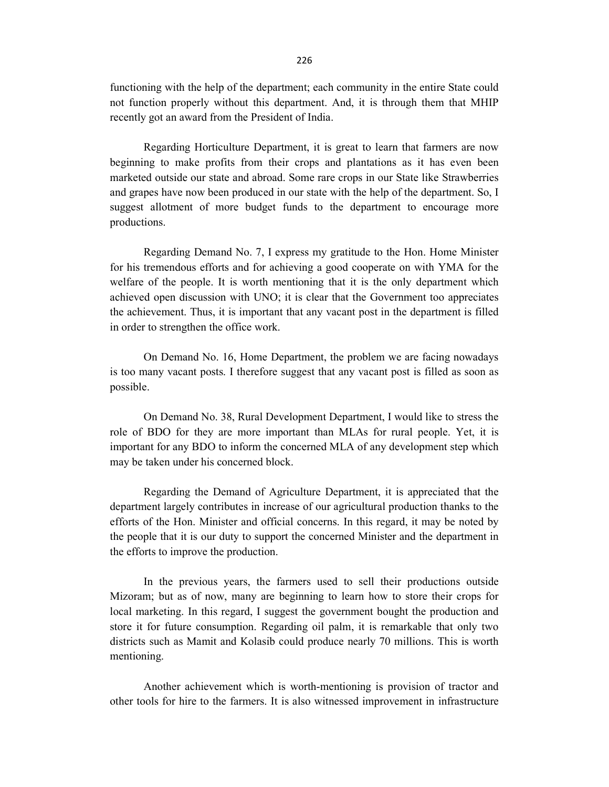functioning with the help of the department; each community in the entire State could not function properly without this department. And, it is through them that MHIP recently got an award from the President of India.

Regarding Horticulture Department, it is great to learn that farmers are now beginning to make profits from their crops and plantations as it has even been marketed outside our state and abroad. Some rare crops in our State like Strawberries and grapes have now been produced in our state with the help of the department. So, I suggest allotment of more budget funds to the department to encourage more productions.

Regarding Demand No. 7, I express my gratitude to the Hon. Home Minister for his tremendous efforts and for achieving a good cooperate on with YMA for the welfare of the people. It is worth mentioning that it is the only department which achieved open discussion with UNO; it is clear that the Government too appreciates the achievement. Thus, it is important that any vacant post in the department is filled in order to strengthen the office work.

On Demand No. 16, Home Department, the problem we are facing nowadays is too many vacant posts. I therefore suggest that any vacant post is filled as soon as possible.

On Demand No. 38, Rural Development Department, I would like to stress the role of BDO for they are more important than MLAs for rural people. Yet, it is important for any BDO to inform the concerned MLA of any development step which may be taken under his concerned block.

 Regarding the Demand of Agriculture Department, it is appreciated that the department largely contributes in increase of our agricultural production thanks to the efforts of the Hon. Minister and official concerns. In this regard, it may be noted by the people that it is our duty to support the concerned Minister and the department in the efforts to improve the production.

In the previous years, the farmers used to sell their productions outside Mizoram; but as of now, many are beginning to learn how to store their crops for local marketing. In this regard, I suggest the government bought the production and store it for future consumption. Regarding oil palm, it is remarkable that only two districts such as Mamit and Kolasib could produce nearly 70 millions. This is worth mentioning.

Another achievement which is worth-mentioning is provision of tractor and other tools for hire to the farmers. It is also witnessed improvement in infrastructure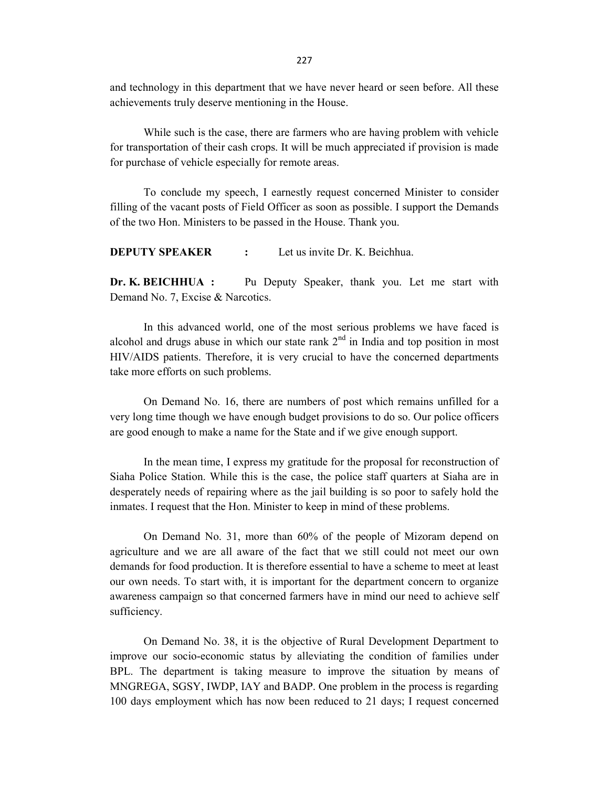and technology in this department that we have never heard or seen before. All these achievements truly deserve mentioning in the House.

While such is the case, there are farmers who are having problem with vehicle for transportation of their cash crops. It will be much appreciated if provision is made for purchase of vehicle especially for remote areas.

To conclude my speech, I earnestly request concerned Minister to consider filling of the vacant posts of Field Officer as soon as possible. I support the Demands of the two Hon. Ministers to be passed in the House. Thank you.

**DEPUTY SPEAKER** : Let us invite Dr. K. Beichhua.

Dr. K. BEICHHUA : Pu Deputy Speaker, thank you. Let me start with Demand No. 7, Excise & Narcotics.

 In this advanced world, one of the most serious problems we have faced is alcohol and drugs abuse in which our state rank  $2<sup>nd</sup>$  in India and top position in most HIV/AIDS patients. Therefore, it is very crucial to have the concerned departments take more efforts on such problems.

On Demand No. 16, there are numbers of post which remains unfilled for a very long time though we have enough budget provisions to do so. Our police officers are good enough to make a name for the State and if we give enough support.

 In the mean time, I express my gratitude for the proposal for reconstruction of Siaha Police Station. While this is the case, the police staff quarters at Siaha are in desperately needs of repairing where as the jail building is so poor to safely hold the inmates. I request that the Hon. Minister to keep in mind of these problems.

On Demand No. 31, more than 60% of the people of Mizoram depend on agriculture and we are all aware of the fact that we still could not meet our own demands for food production. It is therefore essential to have a scheme to meet at least our own needs. To start with, it is important for the department concern to organize awareness campaign so that concerned farmers have in mind our need to achieve self sufficiency.

On Demand No. 38, it is the objective of Rural Development Department to improve our socio-economic status by alleviating the condition of families under BPL. The department is taking measure to improve the situation by means of MNGREGA, SGSY, IWDP, IAY and BADP. One problem in the process is regarding 100 days employment which has now been reduced to 21 days; I request concerned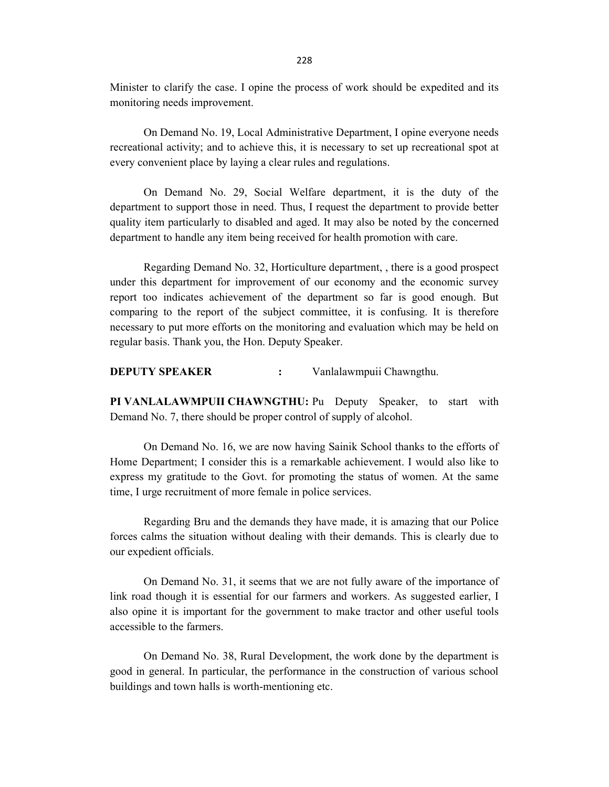Minister to clarify the case. I opine the process of work should be expedited and its monitoring needs improvement.

On Demand No. 19, Local Administrative Department, I opine everyone needs recreational activity; and to achieve this, it is necessary to set up recreational spot at every convenient place by laying a clear rules and regulations.

 On Demand No. 29, Social Welfare department, it is the duty of the department to support those in need. Thus, I request the department to provide better quality item particularly to disabled and aged. It may also be noted by the concerned department to handle any item being received for health promotion with care.

 Regarding Demand No. 32, Horticulture department, , there is a good prospect under this department for improvement of our economy and the economic survey report too indicates achievement of the department so far is good enough. But comparing to the report of the subject committee, it is confusing. It is therefore necessary to put more efforts on the monitoring and evaluation which may be held on regular basis. Thank you, the Hon. Deputy Speaker.

DEPUTY SPEAKER : Vanlalawmpuii Chawngthu.

PI VANLALAWMPUII CHAWNGTHU: Pu Deputy Speaker, to start with Demand No. 7, there should be proper control of supply of alcohol.

 On Demand No. 16, we are now having Sainik School thanks to the efforts of Home Department; I consider this is a remarkable achievement. I would also like to express my gratitude to the Govt. for promoting the status of women. At the same time, I urge recruitment of more female in police services.

 Regarding Bru and the demands they have made, it is amazing that our Police forces calms the situation without dealing with their demands. This is clearly due to our expedient officials.

On Demand No. 31, it seems that we are not fully aware of the importance of link road though it is essential for our farmers and workers. As suggested earlier, I also opine it is important for the government to make tractor and other useful tools accessible to the farmers.

 On Demand No. 38, Rural Development, the work done by the department is good in general. In particular, the performance in the construction of various school buildings and town halls is worth-mentioning etc.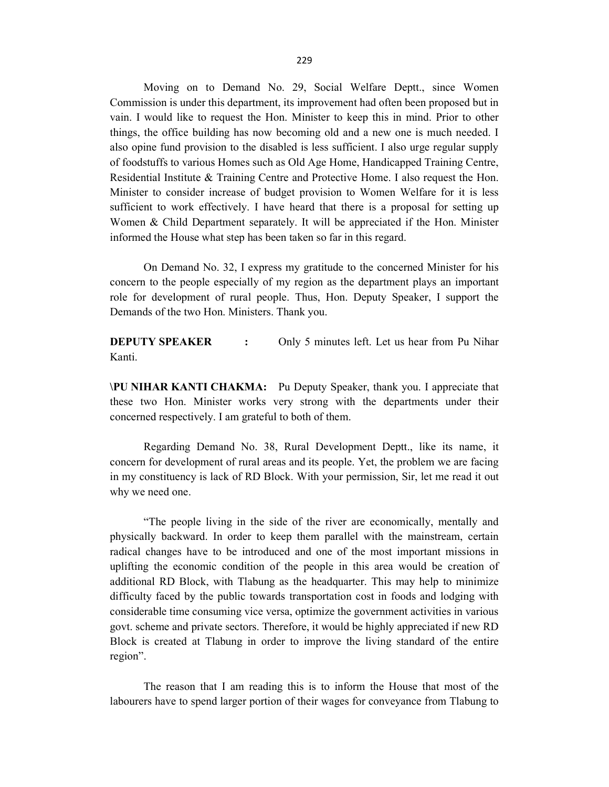Moving on to Demand No. 29, Social Welfare Deptt., since Women Commission is under this department, its improvement had often been proposed but in vain. I would like to request the Hon. Minister to keep this in mind. Prior to other things, the office building has now becoming old and a new one is much needed. I also opine fund provision to the disabled is less sufficient. I also urge regular supply of foodstuffs to various Homes such as Old Age Home, Handicapped Training Centre, Residential Institute & Training Centre and Protective Home. I also request the Hon. Minister to consider increase of budget provision to Women Welfare for it is less sufficient to work effectively. I have heard that there is a proposal for setting up Women & Child Department separately. It will be appreciated if the Hon. Minister informed the House what step has been taken so far in this regard.

On Demand No. 32, I express my gratitude to the concerned Minister for his concern to the people especially of my region as the department plays an important role for development of rural people. Thus, Hon. Deputy Speaker, I support the Demands of the two Hon. Ministers. Thank you.

**DEPUTY SPEAKER** : Only 5 minutes left. Let us hear from Pu Nihar Kanti.

\PU NIHAR KANTI CHAKMA: Pu Deputy Speaker, thank you. I appreciate that these two Hon. Minister works very strong with the departments under their concerned respectively. I am grateful to both of them.

 Regarding Demand No. 38, Rural Development Deptt., like its name, it concern for development of rural areas and its people. Yet, the problem we are facing in my constituency is lack of RD Block. With your permission, Sir, let me read it out why we need one.

 "The people living in the side of the river are economically, mentally and physically backward. In order to keep them parallel with the mainstream, certain radical changes have to be introduced and one of the most important missions in uplifting the economic condition of the people in this area would be creation of additional RD Block, with Tlabung as the headquarter. This may help to minimize difficulty faced by the public towards transportation cost in foods and lodging with considerable time consuming vice versa, optimize the government activities in various govt. scheme and private sectors. Therefore, it would be highly appreciated if new RD Block is created at Tlabung in order to improve the living standard of the entire region".

 The reason that I am reading this is to inform the House that most of the labourers have to spend larger portion of their wages for conveyance from Tlabung to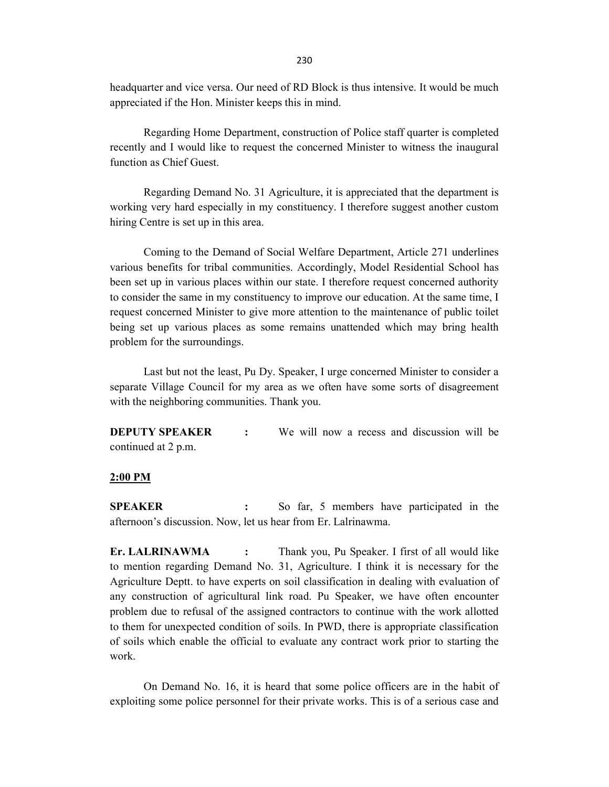headquarter and vice versa. Our need of RD Block is thus intensive. It would be much appreciated if the Hon. Minister keeps this in mind.

 Regarding Home Department, construction of Police staff quarter is completed recently and I would like to request the concerned Minister to witness the inaugural function as Chief Guest.

Regarding Demand No. 31 Agriculture, it is appreciated that the department is working very hard especially in my constituency. I therefore suggest another custom hiring Centre is set up in this area.

 Coming to the Demand of Social Welfare Department, Article 271 underlines various benefits for tribal communities. Accordingly, Model Residential School has been set up in various places within our state. I therefore request concerned authority to consider the same in my constituency to improve our education. At the same time, I request concerned Minister to give more attention to the maintenance of public toilet being set up various places as some remains unattended which may bring health problem for the surroundings.

 Last but not the least, Pu Dy. Speaker, I urge concerned Minister to consider a separate Village Council for my area as we often have some sorts of disagreement with the neighboring communities. Thank you.

**DEPUTY SPEAKER** : We will now a recess and discussion will be continued at 2 p.m.

#### 2:00 PM

SPEAKER : So far, 5 members have participated in the afternoon's discussion. Now, let us hear from Er. Lalrinawma.

Er. LALRINAWMA : Thank you, Pu Speaker. I first of all would like to mention regarding Demand No. 31, Agriculture. I think it is necessary for the Agriculture Deptt. to have experts on soil classification in dealing with evaluation of any construction of agricultural link road. Pu Speaker, we have often encounter problem due to refusal of the assigned contractors to continue with the work allotted to them for unexpected condition of soils. In PWD, there is appropriate classification of soils which enable the official to evaluate any contract work prior to starting the work.

 On Demand No. 16, it is heard that some police officers are in the habit of exploiting some police personnel for their private works. This is of a serious case and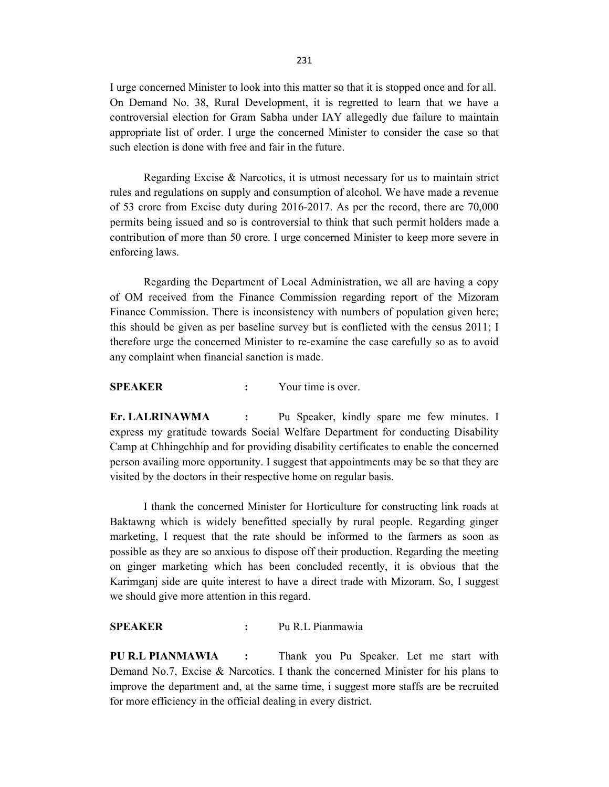I urge concerned Minister to look into this matter so that it is stopped once and for all. On Demand No. 38, Rural Development, it is regretted to learn that we have a controversial election for Gram Sabha under IAY allegedly due failure to maintain appropriate list of order. I urge the concerned Minister to consider the case so that such election is done with free and fair in the future.

 Regarding Excise & Narcotics, it is utmost necessary for us to maintain strict rules and regulations on supply and consumption of alcohol. We have made a revenue of 53 crore from Excise duty during 2016-2017. As per the record, there are 70,000 permits being issued and so is controversial to think that such permit holders made a contribution of more than 50 crore. I urge concerned Minister to keep more severe in enforcing laws.

 Regarding the Department of Local Administration, we all are having a copy of OM received from the Finance Commission regarding report of the Mizoram Finance Commission. There is inconsistency with numbers of population given here; this should be given as per baseline survey but is conflicted with the census 2011; I therefore urge the concerned Minister to re-examine the case carefully so as to avoid any complaint when financial sanction is made.

SPEAKER : Your time is over.

Er. LALRINAWMA : Pu Speaker, kindly spare me few minutes. I express my gratitude towards Social Welfare Department for conducting Disability Camp at Chhingchhip and for providing disability certificates to enable the concerned person availing more opportunity. I suggest that appointments may be so that they are visited by the doctors in their respective home on regular basis.

I thank the concerned Minister for Horticulture for constructing link roads at Baktawng which is widely benefitted specially by rural people. Regarding ginger marketing, I request that the rate should be informed to the farmers as soon as possible as they are so anxious to dispose off their production. Regarding the meeting on ginger marketing which has been concluded recently, it is obvious that the Karimganj side are quite interest to have a direct trade with Mizoram. So, I suggest we should give more attention in this regard.

SPEAKER : Pu R.L Pianmawia

PU R.L PIANMAWIA : Thank you Pu Speaker. Let me start with Demand No.7, Excise & Narcotics. I thank the concerned Minister for his plans to improve the department and, at the same time, i suggest more staffs are be recruited for more efficiency in the official dealing in every district.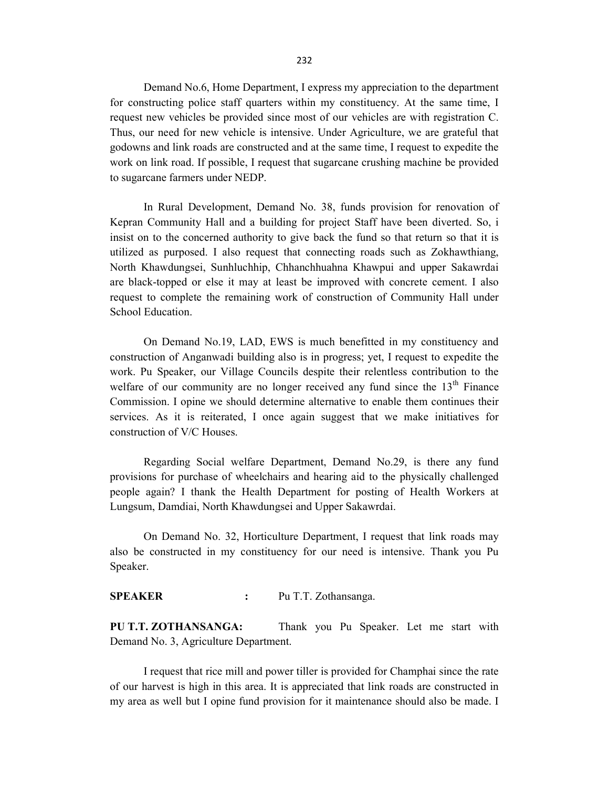Demand No.6, Home Department, I express my appreciation to the department for constructing police staff quarters within my constituency. At the same time, I request new vehicles be provided since most of our vehicles are with registration C. Thus, our need for new vehicle is intensive. Under Agriculture, we are grateful that godowns and link roads are constructed and at the same time, I request to expedite the work on link road. If possible, I request that sugarcane crushing machine be provided to sugarcane farmers under NEDP.

 In Rural Development, Demand No. 38, funds provision for renovation of Kepran Community Hall and a building for project Staff have been diverted. So, i insist on to the concerned authority to give back the fund so that return so that it is utilized as purposed. I also request that connecting roads such as Zokhawthiang, North Khawdungsei, Sunhluchhip, Chhanchhuahna Khawpui and upper Sakawrdai are black-topped or else it may at least be improved with concrete cement. I also request to complete the remaining work of construction of Community Hall under School Education.

 On Demand No.19, LAD, EWS is much benefitted in my constituency and construction of Anganwadi building also is in progress; yet, I request to expedite the work. Pu Speaker, our Village Councils despite their relentless contribution to the welfare of our community are no longer received any fund since the  $13<sup>th</sup>$  Finance Commission. I opine we should determine alternative to enable them continues their services. As it is reiterated, I once again suggest that we make initiatives for construction of V/C Houses.

 Regarding Social welfare Department, Demand No.29, is there any fund provisions for purchase of wheelchairs and hearing aid to the physically challenged people again? I thank the Health Department for posting of Health Workers at Lungsum, Damdiai, North Khawdungsei and Upper Sakawrdai.

On Demand No. 32, Horticulture Department, I request that link roads may also be constructed in my constituency for our need is intensive. Thank you Pu Speaker.

### SPEAKER : Pu T.T. Zothansanga.

PU T.T. ZOTHANSANGA: Thank you Pu Speaker. Let me start with Demand No. 3, Agriculture Department.

 I request that rice mill and power tiller is provided for Champhai since the rate of our harvest is high in this area. It is appreciated that link roads are constructed in my area as well but I opine fund provision for it maintenance should also be made. I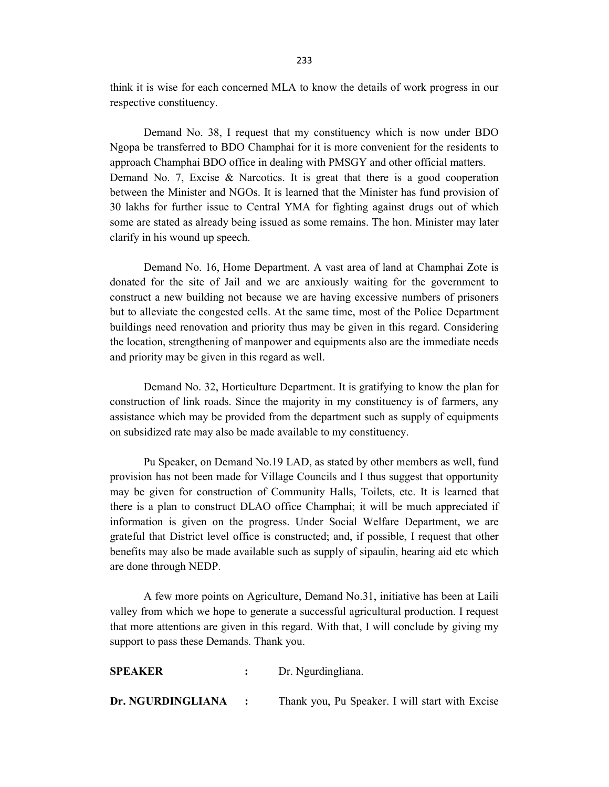think it is wise for each concerned MLA to know the details of work progress in our respective constituency.

 Demand No. 38, I request that my constituency which is now under BDO Ngopa be transferred to BDO Champhai for it is more convenient for the residents to approach Champhai BDO office in dealing with PMSGY and other official matters. Demand No. 7, Excise  $\&$  Narcotics. It is great that there is a good cooperation between the Minister and NGOs. It is learned that the Minister has fund provision of 30 lakhs for further issue to Central YMA for fighting against drugs out of which some are stated as already being issued as some remains. The hon. Minister may later clarify in his wound up speech.

 Demand No. 16, Home Department. A vast area of land at Champhai Zote is donated for the site of Jail and we are anxiously waiting for the government to construct a new building not because we are having excessive numbers of prisoners but to alleviate the congested cells. At the same time, most of the Police Department buildings need renovation and priority thus may be given in this regard. Considering the location, strengthening of manpower and equipments also are the immediate needs and priority may be given in this regard as well.

 Demand No. 32, Horticulture Department. It is gratifying to know the plan for construction of link roads. Since the majority in my constituency is of farmers, any assistance which may be provided from the department such as supply of equipments on subsidized rate may also be made available to my constituency.

Pu Speaker, on Demand No.19 LAD, as stated by other members as well, fund provision has not been made for Village Councils and I thus suggest that opportunity may be given for construction of Community Halls, Toilets, etc. It is learned that there is a plan to construct DLAO office Champhai; it will be much appreciated if information is given on the progress. Under Social Welfare Department, we are grateful that District level office is constructed; and, if possible, I request that other benefits may also be made available such as supply of sipaulin, hearing aid etc which are done through NEDP.

A few more points on Agriculture, Demand No.31, initiative has been at Laili valley from which we hope to generate a successful agricultural production. I request that more attentions are given in this regard. With that, I will conclude by giving my support to pass these Demands. Thank you.

| 91 LAIVEIV        |                  | DI. Ivgurumgnana.                               |
|-------------------|------------------|-------------------------------------------------|
| Dr. NGURDINGLIANA | $\sim$ 100 $\pm$ | Thank you, Pu Speaker. I will start with Excise |

SPEAKER : Dr. Ngurdingliana.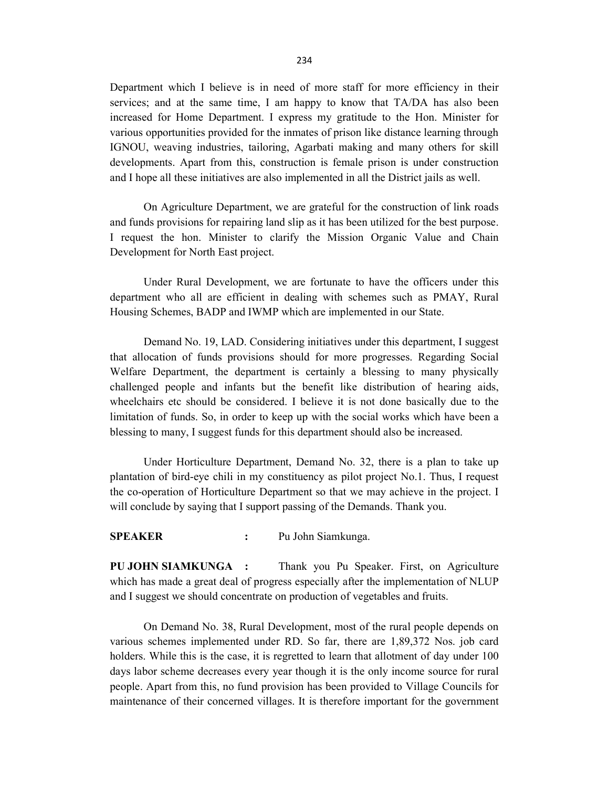Department which I believe is in need of more staff for more efficiency in their services; and at the same time, I am happy to know that TA/DA has also been increased for Home Department. I express my gratitude to the Hon. Minister for various opportunities provided for the inmates of prison like distance learning through IGNOU, weaving industries, tailoring, Agarbati making and many others for skill developments. Apart from this, construction is female prison is under construction and I hope all these initiatives are also implemented in all the District jails as well.

On Agriculture Department, we are grateful for the construction of link roads and funds provisions for repairing land slip as it has been utilized for the best purpose. I request the hon. Minister to clarify the Mission Organic Value and Chain Development for North East project.

Under Rural Development, we are fortunate to have the officers under this department who all are efficient in dealing with schemes such as PMAY, Rural Housing Schemes, BADP and IWMP which are implemented in our State.

Demand No. 19, LAD. Considering initiatives under this department, I suggest that allocation of funds provisions should for more progresses. Regarding Social Welfare Department, the department is certainly a blessing to many physically challenged people and infants but the benefit like distribution of hearing aids, wheelchairs etc should be considered. I believe it is not done basically due to the limitation of funds. So, in order to keep up with the social works which have been a blessing to many, I suggest funds for this department should also be increased.

Under Horticulture Department, Demand No. 32, there is a plan to take up plantation of bird-eye chili in my constituency as pilot project No.1. Thus, I request the co-operation of Horticulture Department so that we may achieve in the project. I will conclude by saying that I support passing of the Demands. Thank you.

SPEAKER : Pu John Siamkunga.

PU JOHN SIAMKUNGA : Thank you Pu Speaker. First, on Agriculture which has made a great deal of progress especially after the implementation of NLUP and I suggest we should concentrate on production of vegetables and fruits.

 On Demand No. 38, Rural Development, most of the rural people depends on various schemes implemented under RD. So far, there are 1,89,372 Nos. job card holders. While this is the case, it is regretted to learn that allotment of day under 100 days labor scheme decreases every year though it is the only income source for rural people. Apart from this, no fund provision has been provided to Village Councils for maintenance of their concerned villages. It is therefore important for the government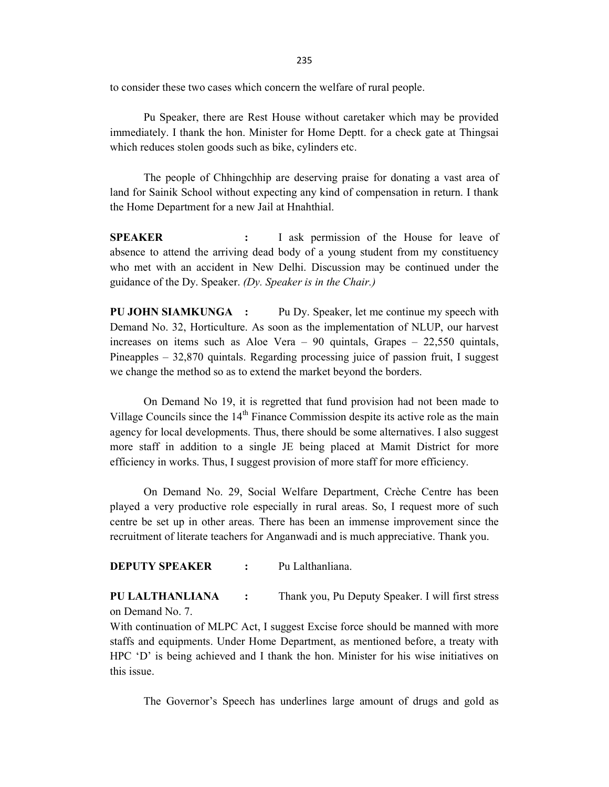235

to consider these two cases which concern the welfare of rural people.

Pu Speaker, there are Rest House without caretaker which may be provided immediately. I thank the hon. Minister for Home Deptt. for a check gate at Thingsai which reduces stolen goods such as bike, cylinders etc.

The people of Chhingchhip are deserving praise for donating a vast area of land for Sainik School without expecting any kind of compensation in return. I thank the Home Department for a new Jail at Hnahthial.

SPEAKER : I ask permission of the House for leave of absence to attend the arriving dead body of a young student from my constituency who met with an accident in New Delhi. Discussion may be continued under the guidance of the Dy. Speaker. (Dy. Speaker is in the Chair.)

PU JOHN SIAMKUNGA : Pu Dy. Speaker, let me continue my speech with Demand No. 32, Horticulture. As soon as the implementation of NLUP, our harvest increases on items such as Aloe Vera – 90 quintals, Grapes – 22,550 quintals, Pineapples – 32,870 quintals. Regarding processing juice of passion fruit, I suggest we change the method so as to extend the market beyond the borders.

On Demand No 19, it is regretted that fund provision had not been made to Village Councils since the  $14<sup>th</sup>$  Finance Commission despite its active role as the main agency for local developments. Thus, there should be some alternatives. I also suggest more staff in addition to a single JE being placed at Mamit District for more efficiency in works. Thus, I suggest provision of more staff for more efficiency.

 On Demand No. 29, Social Welfare Department, Crèche Centre has been played a very productive role especially in rural areas. So, I request more of such centre be set up in other areas. There has been an immense improvement since the recruitment of literate teachers for Anganwadi and is much appreciative. Thank you.

DEPUTY SPEAKER : Pu Lalthanliana.

PU LALTHANLIANA : Thank you, Pu Deputy Speaker. I will first stress on Demand No. 7.

With continuation of MLPC Act, I suggest Excise force should be manned with more staffs and equipments. Under Home Department, as mentioned before, a treaty with HPC 'D' is being achieved and I thank the hon. Minister for his wise initiatives on this issue.

The Governor's Speech has underlines large amount of drugs and gold as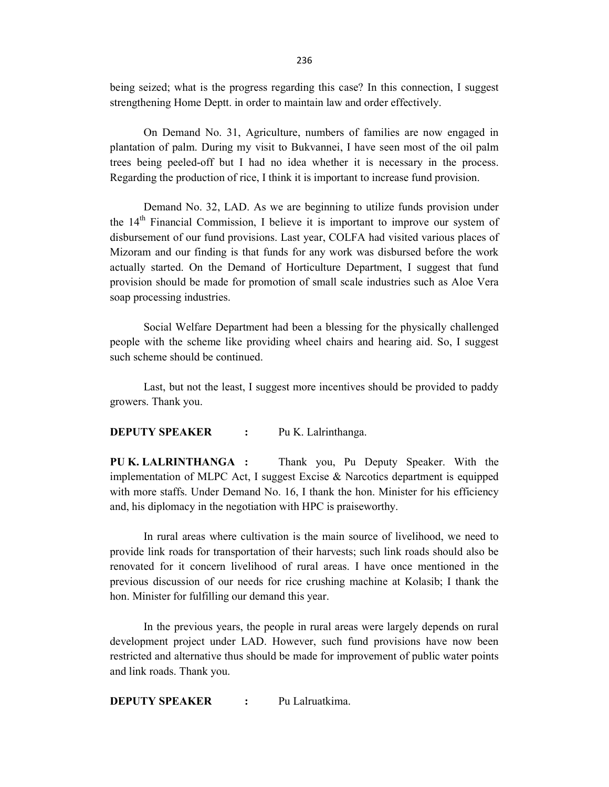being seized; what is the progress regarding this case? In this connection, I suggest strengthening Home Deptt. in order to maintain law and order effectively.

 On Demand No. 31, Agriculture, numbers of families are now engaged in plantation of palm. During my visit to Bukvannei, I have seen most of the oil palm trees being peeled-off but I had no idea whether it is necessary in the process. Regarding the production of rice, I think it is important to increase fund provision.

 Demand No. 32, LAD. As we are beginning to utilize funds provision under the  $14<sup>th</sup>$  Financial Commission, I believe it is important to improve our system of disbursement of our fund provisions. Last year, COLFA had visited various places of Mizoram and our finding is that funds for any work was disbursed before the work actually started. On the Demand of Horticulture Department, I suggest that fund provision should be made for promotion of small scale industries such as Aloe Vera soap processing industries.

Social Welfare Department had been a blessing for the physically challenged people with the scheme like providing wheel chairs and hearing aid. So, I suggest such scheme should be continued.

 Last, but not the least, I suggest more incentives should be provided to paddy growers. Thank you.

## DEPUTY SPEAKER : Pu K. Lalrinthanga.

PU K. LALRINTHANGA : Thank you, Pu Deputy Speaker. With the implementation of MLPC Act, I suggest Excise & Narcotics department is equipped with more staffs. Under Demand No. 16, I thank the hon. Minister for his efficiency and, his diplomacy in the negotiation with HPC is praiseworthy.

In rural areas where cultivation is the main source of livelihood, we need to provide link roads for transportation of their harvests; such link roads should also be renovated for it concern livelihood of rural areas. I have once mentioned in the previous discussion of our needs for rice crushing machine at Kolasib; I thank the hon. Minister for fulfilling our demand this year.

In the previous years, the people in rural areas were largely depends on rural development project under LAD. However, such fund provisions have now been restricted and alternative thus should be made for improvement of public water points and link roads. Thank you.

**DEPUTY SPEAKER** : Pu Lalruatkima.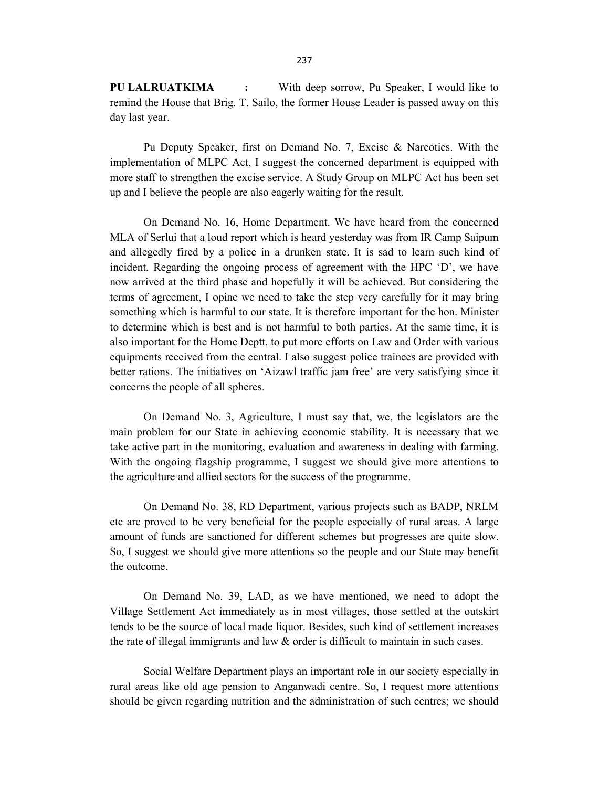PU LALRUATKIMA : With deep sorrow, Pu Speaker, I would like to remind the House that Brig. T. Sailo, the former House Leader is passed away on this day last year.

 Pu Deputy Speaker, first on Demand No. 7, Excise & Narcotics. With the implementation of MLPC Act, I suggest the concerned department is equipped with more staff to strengthen the excise service. A Study Group on MLPC Act has been set up and I believe the people are also eagerly waiting for the result.

 On Demand No. 16, Home Department. We have heard from the concerned MLA of Serlui that a loud report which is heard yesterday was from IR Camp Saipum and allegedly fired by a police in a drunken state. It is sad to learn such kind of incident. Regarding the ongoing process of agreement with the HPC 'D', we have now arrived at the third phase and hopefully it will be achieved. But considering the terms of agreement, I opine we need to take the step very carefully for it may bring something which is harmful to our state. It is therefore important for the hon. Minister to determine which is best and is not harmful to both parties. At the same time, it is also important for the Home Deptt. to put more efforts on Law and Order with various equipments received from the central. I also suggest police trainees are provided with better rations. The initiatives on 'Aizawl traffic jam free' are very satisfying since it concerns the people of all spheres.

On Demand No. 3, Agriculture, I must say that, we, the legislators are the main problem for our State in achieving economic stability. It is necessary that we take active part in the monitoring, evaluation and awareness in dealing with farming. With the ongoing flagship programme, I suggest we should give more attentions to the agriculture and allied sectors for the success of the programme.

On Demand No. 38, RD Department, various projects such as BADP, NRLM etc are proved to be very beneficial for the people especially of rural areas. A large amount of funds are sanctioned for different schemes but progresses are quite slow. So, I suggest we should give more attentions so the people and our State may benefit the outcome.

On Demand No. 39, LAD, as we have mentioned, we need to adopt the Village Settlement Act immediately as in most villages, those settled at the outskirt tends to be the source of local made liquor. Besides, such kind of settlement increases the rate of illegal immigrants and law & order is difficult to maintain in such cases.

Social Welfare Department plays an important role in our society especially in rural areas like old age pension to Anganwadi centre. So, I request more attentions should be given regarding nutrition and the administration of such centres; we should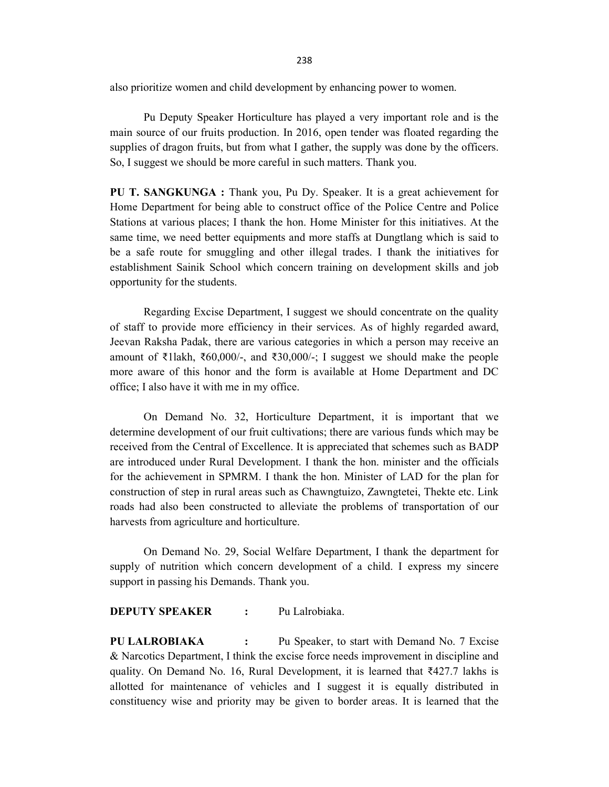238

also prioritize women and child development by enhancing power to women.

Pu Deputy Speaker Horticulture has played a very important role and is the main source of our fruits production. In 2016, open tender was floated regarding the supplies of dragon fruits, but from what I gather, the supply was done by the officers. So, I suggest we should be more careful in such matters. Thank you.

PU T. SANGKUNGA : Thank you, Pu Dy. Speaker. It is a great achievement for Home Department for being able to construct office of the Police Centre and Police Stations at various places; I thank the hon. Home Minister for this initiatives. At the same time, we need better equipments and more staffs at Dungtlang which is said to be a safe route for smuggling and other illegal trades. I thank the initiatives for establishment Sainik School which concern training on development skills and job opportunity for the students.

Regarding Excise Department, I suggest we should concentrate on the quality of staff to provide more efficiency in their services. As of highly regarded award, Jeevan Raksha Padak, there are various categories in which a person may receive an amount of ₹1lakh, ₹60,000/-, and ₹30,000/-; I suggest we should make the people more aware of this honor and the form is available at Home Department and DC office; I also have it with me in my office.

On Demand No. 32, Horticulture Department, it is important that we determine development of our fruit cultivations; there are various funds which may be received from the Central of Excellence. It is appreciated that schemes such as BADP are introduced under Rural Development. I thank the hon. minister and the officials for the achievement in SPMRM. I thank the hon. Minister of LAD for the plan for construction of step in rural areas such as Chawngtuizo, Zawngtetei, Thekte etc. Link roads had also been constructed to alleviate the problems of transportation of our harvests from agriculture and horticulture.

On Demand No. 29, Social Welfare Department, I thank the department for supply of nutrition which concern development of a child. I express my sincere support in passing his Demands. Thank you.

DEPUTY SPEAKER : Pu Lalrobiaka.

PU LALROBIAKA : Pu Speaker, to start with Demand No. 7 Excise & Narcotics Department, I think the excise force needs improvement in discipline and quality. On Demand No. 16, Rural Development, it is learned that ₹427.7 lakhs is allotted for maintenance of vehicles and I suggest it is equally distributed in constituency wise and priority may be given to border areas. It is learned that the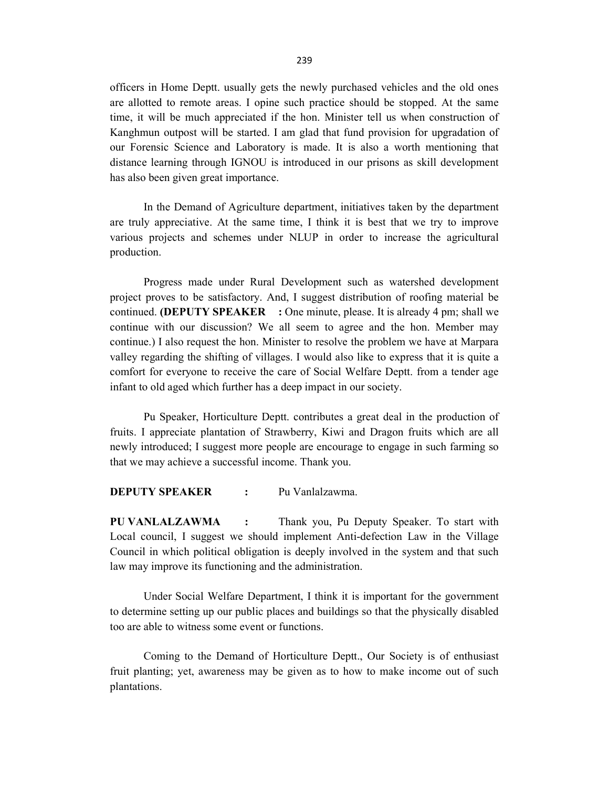officers in Home Deptt. usually gets the newly purchased vehicles and the old ones are allotted to remote areas. I opine such practice should be stopped. At the same time, it will be much appreciated if the hon. Minister tell us when construction of Kanghmun outpost will be started. I am glad that fund provision for upgradation of our Forensic Science and Laboratory is made. It is also a worth mentioning that distance learning through IGNOU is introduced in our prisons as skill development has also been given great importance.

In the Demand of Agriculture department, initiatives taken by the department are truly appreciative. At the same time, I think it is best that we try to improve various projects and schemes under NLUP in order to increase the agricultural production.

 Progress made under Rural Development such as watershed development project proves to be satisfactory. And, I suggest distribution of roofing material be continued. **(DEPUTY SPEAKER** : One minute, please. It is already 4 pm; shall we continue with our discussion? We all seem to agree and the hon. Member may continue.) I also request the hon. Minister to resolve the problem we have at Marpara valley regarding the shifting of villages. I would also like to express that it is quite a comfort for everyone to receive the care of Social Welfare Deptt. from a tender age infant to old aged which further has a deep impact in our society.

Pu Speaker, Horticulture Deptt. contributes a great deal in the production of fruits. I appreciate plantation of Strawberry, Kiwi and Dragon fruits which are all newly introduced; I suggest more people are encourage to engage in such farming so that we may achieve a successful income. Thank you.

DEPUTY SPEAKER : Pu Vanlalzawma.

PU VANLALZAWMA : Thank you, Pu Deputy Speaker. To start with Local council, I suggest we should implement Anti-defection Law in the Village Council in which political obligation is deeply involved in the system and that such law may improve its functioning and the administration.

 Under Social Welfare Department, I think it is important for the government to determine setting up our public places and buildings so that the physically disabled too are able to witness some event or functions.

 Coming to the Demand of Horticulture Deptt., Our Society is of enthusiast fruit planting; yet, awareness may be given as to how to make income out of such plantations.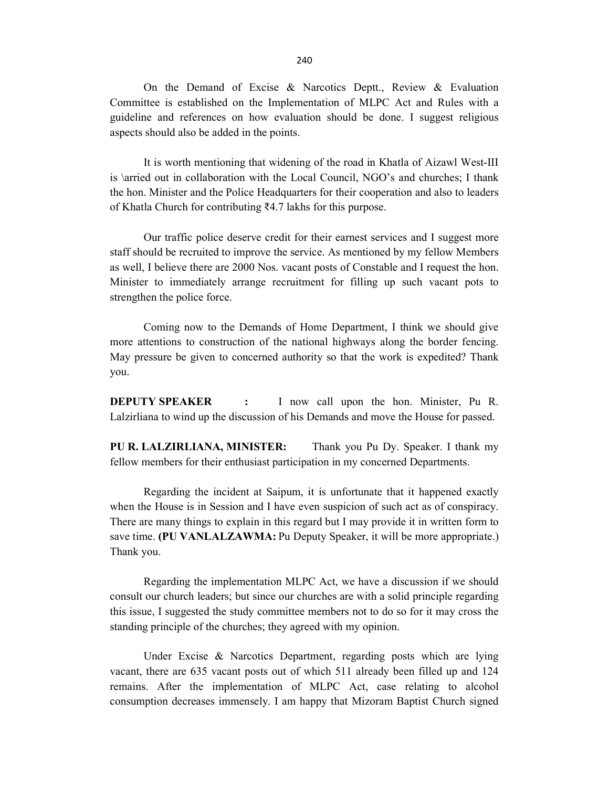On the Demand of Excise & Narcotics Deptt., Review & Evaluation Committee is established on the Implementation of MLPC Act and Rules with a guideline and references on how evaluation should be done. I suggest religious aspects should also be added in the points.

 It is worth mentioning that widening of the road in Khatla of Aizawl West-III is \arried out in collaboration with the Local Council, NGO's and churches; I thank the hon. Minister and the Police Headquarters for their cooperation and also to leaders of Khatla Church for contributing ₹4.7 lakhs for this purpose.

Our traffic police deserve credit for their earnest services and I suggest more staff should be recruited to improve the service. As mentioned by my fellow Members as well, I believe there are 2000 Nos. vacant posts of Constable and I request the hon. Minister to immediately arrange recruitment for filling up such vacant pots to strengthen the police force.

Coming now to the Demands of Home Department, I think we should give more attentions to construction of the national highways along the border fencing. May pressure be given to concerned authority so that the work is expedited? Thank you.

DEPUTY SPEAKER : I now call upon the hon. Minister, Pu R. Lalzirliana to wind up the discussion of his Demands and move the House for passed.

PU R. LALZIRLIANA, MINISTER: Thank you Pu Dy. Speaker. I thank my fellow members for their enthusiast participation in my concerned Departments.

Regarding the incident at Saipum, it is unfortunate that it happened exactly when the House is in Session and I have even suspicion of such act as of conspiracy. There are many things to explain in this regard but I may provide it in written form to save time. (PU VANLALZAWMA: Pu Deputy Speaker, it will be more appropriate.) Thank you.

 Regarding the implementation MLPC Act, we have a discussion if we should consult our church leaders; but since our churches are with a solid principle regarding this issue, I suggested the study committee members not to do so for it may cross the standing principle of the churches; they agreed with my opinion.

Under Excise & Narcotics Department, regarding posts which are lying vacant, there are 635 vacant posts out of which 511 already been filled up and 124 remains. After the implementation of MLPC Act, case relating to alcohol consumption decreases immensely. I am happy that Mizoram Baptist Church signed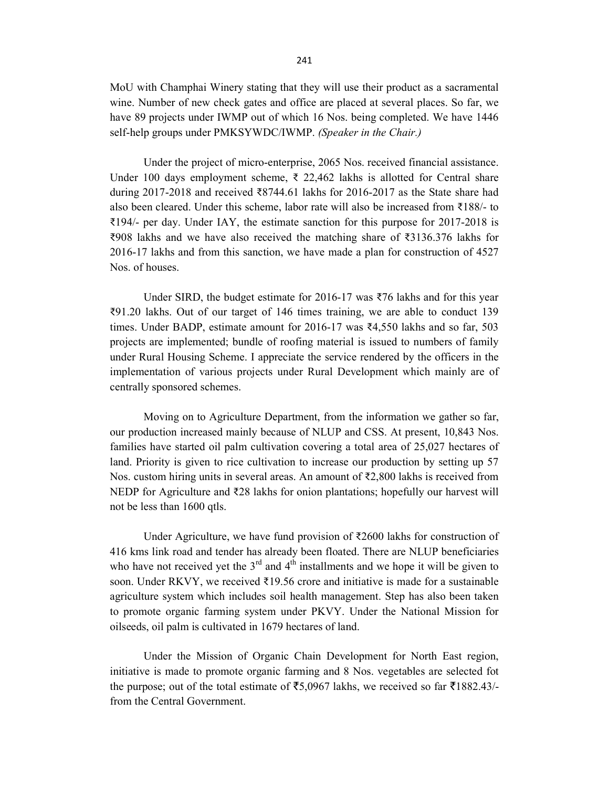MoU with Champhai Winery stating that they will use their product as a sacramental wine. Number of new check gates and office are placed at several places. So far, we have 89 projects under IWMP out of which 16 Nos. being completed. We have 1446 self-help groups under PMKSYWDC/IWMP. (Speaker in the Chair.)

Under the project of micro-enterprise, 2065 Nos. received financial assistance. Under 100 days employment scheme, ₹ 22,462 lakhs is allotted for Central share during 2017-2018 and received ₹8744.61 lakhs for 2016-2017 as the State share had also been cleared. Under this scheme, labor rate will also be increased from ₹188/- to ₹194/- per day. Under IAY, the estimate sanction for this purpose for 2017-2018 is ₹908 lakhs and we have also received the matching share of ₹3136.376 lakhs for 2016-17 lakhs and from this sanction, we have made a plan for construction of 4527 Nos. of houses.

Under SIRD, the budget estimate for 2016-17 was ₹76 lakhs and for this year ₹91.20 lakhs. Out of our target of 146 times training, we are able to conduct 139 times. Under BADP, estimate amount for 2016-17 was ₹4,550 lakhs and so far, 503 projects are implemented; bundle of roofing material is issued to numbers of family under Rural Housing Scheme. I appreciate the service rendered by the officers in the implementation of various projects under Rural Development which mainly are of centrally sponsored schemes.

Moving on to Agriculture Department, from the information we gather so far, our production increased mainly because of NLUP and CSS. At present, 10,843 Nos. families have started oil palm cultivation covering a total area of 25,027 hectares of land. Priority is given to rice cultivation to increase our production by setting up 57 Nos. custom hiring units in several areas. An amount of  $\overline{\xi}2,800$  lakhs is received from NEDP for Agriculture and ₹28 lakhs for onion plantations; hopefully our harvest will not be less than 1600 qtls.

Under Agriculture, we have fund provision of ₹2600 lakhs for construction of 416 kms link road and tender has already been floated. There are NLUP beneficiaries who have not received yet the  $3<sup>rd</sup>$  and  $4<sup>th</sup>$  installments and we hope it will be given to soon. Under RKVY, we received ₹19.56 crore and initiative is made for a sustainable agriculture system which includes soil health management. Step has also been taken to promote organic farming system under PKVY. Under the National Mission for oilseeds, oil palm is cultivated in 1679 hectares of land.

Under the Mission of Organic Chain Development for North East region, initiative is made to promote organic farming and 8 Nos. vegetables are selected fot the purpose; out of the total estimate of  $\overline{55,0967}$  lakhs, we received so far  $\overline{51882.43/4}$ from the Central Government.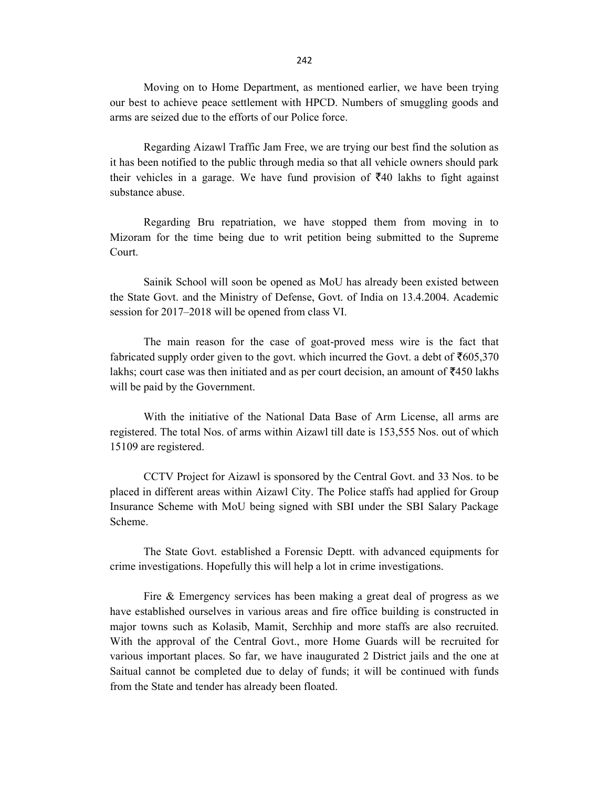Moving on to Home Department, as mentioned earlier, we have been trying our best to achieve peace settlement with HPCD. Numbers of smuggling goods and arms are seized due to the efforts of our Police force.

 Regarding Aizawl Traffic Jam Free, we are trying our best find the solution as it has been notified to the public through media so that all vehicle owners should park their vehicles in a garage. We have fund provision of  $\bar{\xi}40$  lakhs to fight against substance abuse.

Regarding Bru repatriation, we have stopped them from moving in to Mizoram for the time being due to writ petition being submitted to the Supreme Court.

Sainik School will soon be opened as MoU has already been existed between the State Govt. and the Ministry of Defense, Govt. of India on 13.4.2004. Academic session for 2017–2018 will be opened from class VI.

The main reason for the case of goat-proved mess wire is the fact that fabricated supply order given to the govt. which incurred the Govt. a debt of  $\bar{z}605,370$ lakhs; court case was then initiated and as per court decision, an amount of  $\overline{5}450$  lakhs will be paid by the Government.

With the initiative of the National Data Base of Arm License, all arms are registered. The total Nos. of arms within Aizawl till date is 153,555 Nos. out of which 15109 are registered.

CCTV Project for Aizawl is sponsored by the Central Govt. and 33 Nos. to be placed in different areas within Aizawl City. The Police staffs had applied for Group Insurance Scheme with MoU being signed with SBI under the SBI Salary Package Scheme.

 The State Govt. established a Forensic Deptt. with advanced equipments for crime investigations. Hopefully this will help a lot in crime investigations.

 Fire & Emergency services has been making a great deal of progress as we have established ourselves in various areas and fire office building is constructed in major towns such as Kolasib, Mamit, Serchhip and more staffs are also recruited. With the approval of the Central Govt., more Home Guards will be recruited for various important places. So far, we have inaugurated 2 District jails and the one at Saitual cannot be completed due to delay of funds; it will be continued with funds from the State and tender has already been floated.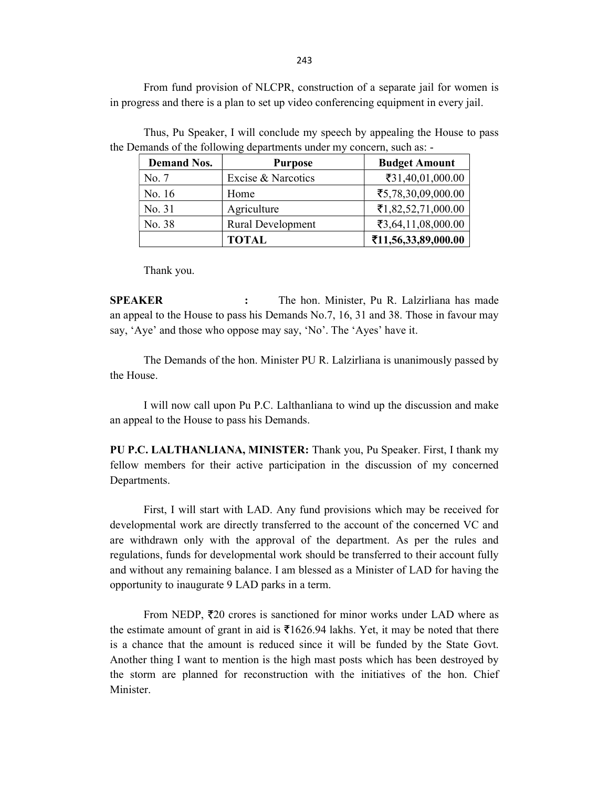From fund provision of NLCPR, construction of a separate jail for women is in progress and there is a plan to set up video conferencing equipment in every jail.

| <b>Demand Nos.</b> | <b>Purpose</b>           | <b>Budget Amount</b> |
|--------------------|--------------------------|----------------------|
| No. 7              | Excise & Narcotics       | ₹31,40,01,000.00     |
| No. 16             | Home                     | ₹5,78,30,09,000.00   |
| No. 31             | Agriculture              | ₹1,82,52,71,000.00   |
| No. 38             | <b>Rural Development</b> | ₹3,64,11,08,000.00   |
|                    | <b>TOTAL</b>             | ₹11,56,33,89,000.00  |

 Thus, Pu Speaker, I will conclude my speech by appealing the House to pass the Demands of the following departments under my concern, such as: -

Thank you.

SPEAKER : The hon. Minister, Pu R. Lalzirliana has made an appeal to the House to pass his Demands No.7, 16, 31 and 38. Those in favour may say, 'Aye' and those who oppose may say, 'No'. The 'Ayes' have it.

 The Demands of the hon. Minister PU R. Lalzirliana is unanimously passed by the House.

I will now call upon Pu P.C. Lalthanliana to wind up the discussion and make an appeal to the House to pass his Demands.

PU P.C. LALTHANLIANA, MINISTER: Thank you, Pu Speaker. First, I thank my fellow members for their active participation in the discussion of my concerned Departments.

First, I will start with LAD. Any fund provisions which may be received for developmental work are directly transferred to the account of the concerned VC and are withdrawn only with the approval of the department. As per the rules and regulations, funds for developmental work should be transferred to their account fully and without any remaining balance. I am blessed as a Minister of LAD for having the opportunity to inaugurate 9 LAD parks in a term.

From NEDP,  $\bar{\tau}$ 20 crores is sanctioned for minor works under LAD where as the estimate amount of grant in aid is  $\overline{51626.94}$  lakhs. Yet, it may be noted that there is a chance that the amount is reduced since it will be funded by the State Govt. Another thing I want to mention is the high mast posts which has been destroyed by the storm are planned for reconstruction with the initiatives of the hon. Chief Minister.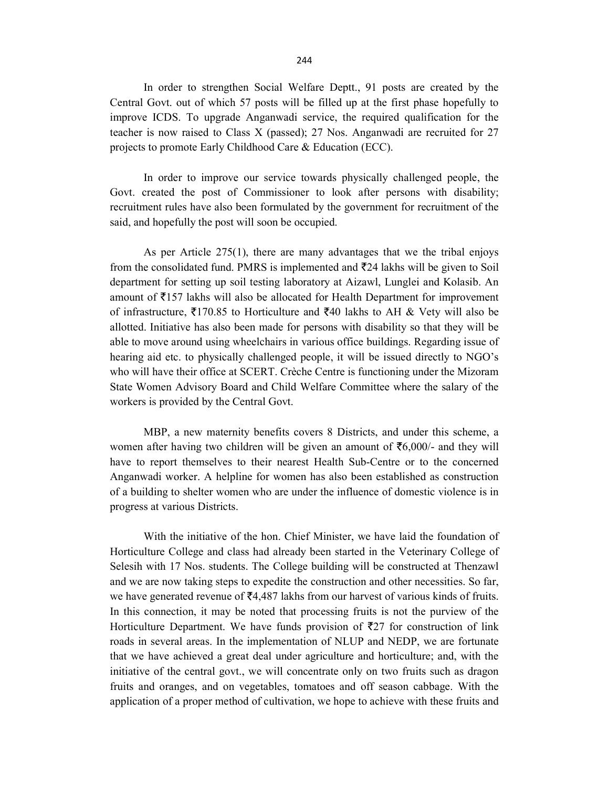In order to strengthen Social Welfare Deptt., 91 posts are created by the Central Govt. out of which 57 posts will be filled up at the first phase hopefully to improve ICDS. To upgrade Anganwadi service, the required qualification for the teacher is now raised to Class X (passed); 27 Nos. Anganwadi are recruited for 27 projects to promote Early Childhood Care & Education (ECC).

In order to improve our service towards physically challenged people, the Govt. created the post of Commissioner to look after persons with disability; recruitment rules have also been formulated by the government for recruitment of the said, and hopefully the post will soon be occupied.

As per Article 275(1), there are many advantages that we the tribal enjoys from the consolidated fund. PMRS is implemented and  $\bar{\tau}$ 24 lakhs will be given to Soil department for setting up soil testing laboratory at Aizawl, Lunglei and Kolasib. An amount of  $\bar{\tau}$ 157 lakhs will also be allocated for Health Department for improvement of infrastructure,  $\overline{5}170.85$  to Horticulture and  $\overline{5}40$  lakhs to AH & Vety will also be allotted. Initiative has also been made for persons with disability so that they will be able to move around using wheelchairs in various office buildings. Regarding issue of hearing aid etc. to physically challenged people, it will be issued directly to NGO's who will have their office at SCERT. Crèche Centre is functioning under the Mizoram State Women Advisory Board and Child Welfare Committee where the salary of the workers is provided by the Central Govt.

MBP, a new maternity benefits covers 8 Districts, and under this scheme, a women after having two children will be given an amount of  $\bar{\tau}6,000/$ - and they will have to report themselves to their nearest Health Sub-Centre or to the concerned Anganwadi worker. A helpline for women has also been established as construction of a building to shelter women who are under the influence of domestic violence is in progress at various Districts.

With the initiative of the hon. Chief Minister, we have laid the foundation of Horticulture College and class had already been started in the Veterinary College of Selesih with 17 Nos. students. The College building will be constructed at Thenzawl and we are now taking steps to expedite the construction and other necessities. So far, we have generated revenue of  $\bar{\mathcal{F}}$ 4,487 lakhs from our harvest of various kinds of fruits. In this connection, it may be noted that processing fruits is not the purview of the Horticulture Department. We have funds provision of  $\overline{z}27$  for construction of link roads in several areas. In the implementation of NLUP and NEDP, we are fortunate that we have achieved a great deal under agriculture and horticulture; and, with the initiative of the central govt., we will concentrate only on two fruits such as dragon fruits and oranges, and on vegetables, tomatoes and off season cabbage. With the application of a proper method of cultivation, we hope to achieve with these fruits and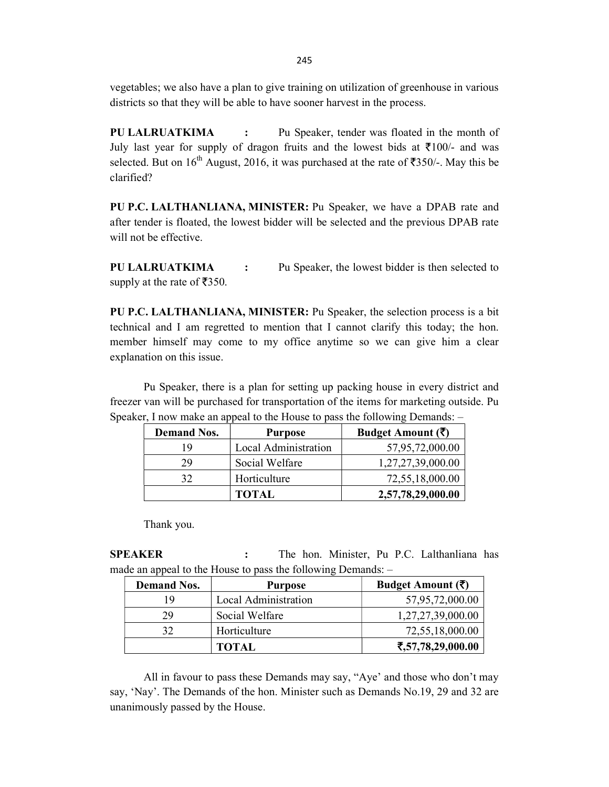vegetables; we also have a plan to give training on utilization of greenhouse in various districts so that they will be able to have sooner harvest in the process.

PU LALRUATKIMA : Pu Speaker, tender was floated in the month of July last year for supply of dragon fruits and the lowest bids at  $\bar{\tau}100/$ - and was selected. But on 16<sup>th</sup> August, 2016, it was purchased at the rate of  $\overline{5350/}$ -. May this be clarified?

PU P.C. LALTHANLIANA, MINISTER: Pu Speaker, we have a DPAB rate and after tender is floated, the lowest bidder will be selected and the previous DPAB rate will not be effective.

PU LALRUATKIMA : Pu Speaker, the lowest bidder is then selected to supply at the rate of  $\overline{5350}$ .

PU P.C. LALTHANLIANA, MINISTER: Pu Speaker, the selection process is a bit technical and I am regretted to mention that I cannot clarify this today; the hon. member himself may come to my office anytime so we can give him a clear explanation on this issue.

Pu Speaker, there is a plan for setting up packing house in every district and freezer van will be purchased for transportation of the items for marketing outside. Pu Speaker, I now make an appeal to the House to pass the following Demands: –

| <b>Demand Nos.</b> | <b>Purpose</b>       | Budget Amount $(\bar{\zeta})$ |
|--------------------|----------------------|-------------------------------|
| 19                 | Local Administration | 57,95,72,000.00               |
| 29                 | Social Welfare       | 1,27,27,39,000.00             |
| 32                 | Horticulture         | 72,55,18,000.00               |
|                    | <b>TOTAL</b>         | 2,57,78,29,000.00             |

Thank you.

SPEAKER : The hon. Minister, Pu P.C. Lalthanliana has made an appeal to the House to pass the following Demands: –

| <b>Demand Nos.</b> | <b>Purpose</b>       | Budget Amount $(\bar{\zeta})$ |
|--------------------|----------------------|-------------------------------|
| 19                 | Local Administration | 57,95,72,000.00               |
| 29                 | Social Welfare       | 1,27,27,39,000.00             |
| 32                 | Horticulture         | 72,55,18,000.00               |
|                    | <b>TOTAL</b>         | ₹,57,78,29,000.00             |

All in favour to pass these Demands may say, "Aye' and those who don't may say, 'Nay'. The Demands of the hon. Minister such as Demands No.19, 29 and 32 are unanimously passed by the House.